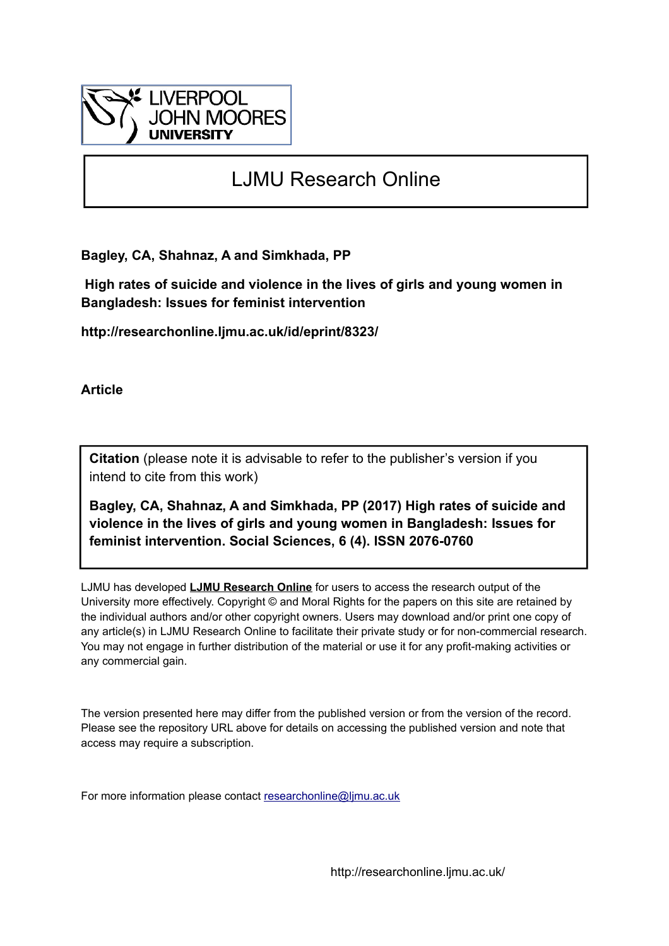

# LJMU Research Online

**Bagley, CA, Shahnaz, A and Simkhada, PP**

 **High rates of suicide and violence in the lives of girls and young women in Bangladesh: Issues for feminist intervention**

**http://researchonline.ljmu.ac.uk/id/eprint/8323/**

**Article**

**Citation** (please note it is advisable to refer to the publisher's version if you intend to cite from this work)

**Bagley, CA, Shahnaz, A and Simkhada, PP (2017) High rates of suicide and violence in the lives of girls and young women in Bangladesh: Issues for feminist intervention. Social Sciences, 6 (4). ISSN 2076-0760** 

LJMU has developed **[LJMU Research Online](http://researchonline.ljmu.ac.uk/)** for users to access the research output of the University more effectively. Copyright © and Moral Rights for the papers on this site are retained by the individual authors and/or other copyright owners. Users may download and/or print one copy of any article(s) in LJMU Research Online to facilitate their private study or for non-commercial research. You may not engage in further distribution of the material or use it for any profit-making activities or any commercial gain.

The version presented here may differ from the published version or from the version of the record. Please see the repository URL above for details on accessing the published version and note that access may require a subscription.

For more information please contact [researchonline@ljmu.ac.uk](mailto:researchonline@ljmu.ac.uk)

http://researchonline.ljmu.ac.uk/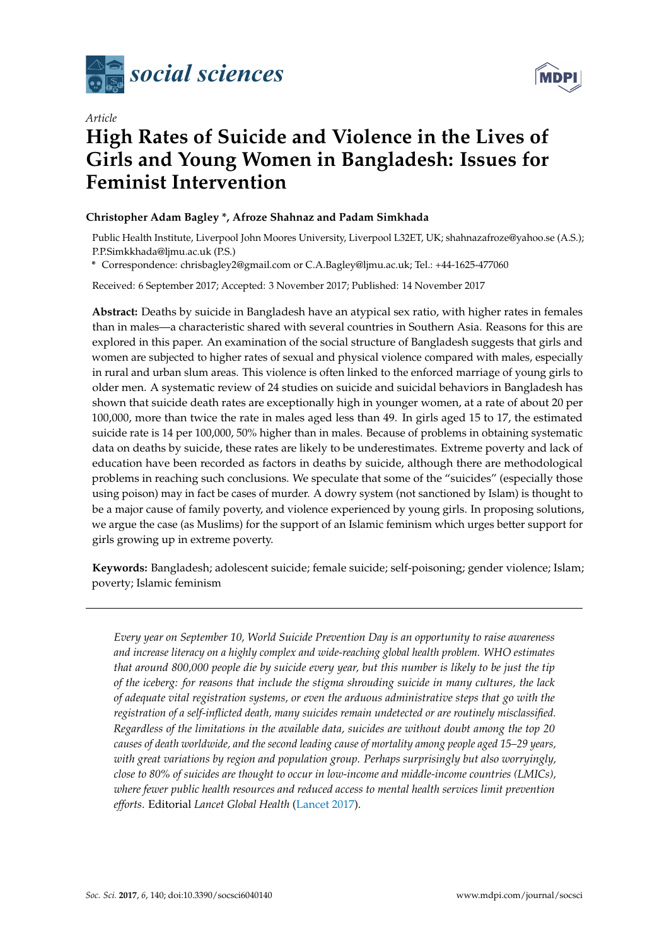



## *Article* **High Rates of Suicide and Violence in the Lives of Girls and Young Women in Bangladesh: Issues for Feminist Intervention**

## **Christopher Adam Bagley \*, Afroze Shahnaz and Padam Simkhada**

Public Health Institute, Liverpool John Moores University, Liverpool L32ET, UK; shahnazafroze@yahoo.se (A.S.); P.P.Simkkhada@ljmu.ac.uk (P.S.)

**\*** Correspondence: chrisbagley2@gmail.com or C.A.Bagley@ljmu.ac.uk; Tel.: +44-1625-477060

Received: 6 September 2017; Accepted: 3 November 2017; Published: 14 November 2017

**Abstract:** Deaths by suicide in Bangladesh have an atypical sex ratio, with higher rates in females than in males—a characteristic shared with several countries in Southern Asia. Reasons for this are explored in this paper. An examination of the social structure of Bangladesh suggests that girls and women are subjected to higher rates of sexual and physical violence compared with males, especially in rural and urban slum areas. This violence is often linked to the enforced marriage of young girls to older men. A systematic review of 24 studies on suicide and suicidal behaviors in Bangladesh has shown that suicide death rates are exceptionally high in younger women, at a rate of about 20 per 100,000, more than twice the rate in males aged less than 49. In girls aged 15 to 17, the estimated suicide rate is 14 per 100,000, 50% higher than in males. Because of problems in obtaining systematic data on deaths by suicide, these rates are likely to be underestimates. Extreme poverty and lack of education have been recorded as factors in deaths by suicide, although there are methodological problems in reaching such conclusions. We speculate that some of the "suicides" (especially those using poison) may in fact be cases of murder. A dowry system (not sanctioned by Islam) is thought to be a major cause of family poverty, and violence experienced by young girls. In proposing solutions, we argue the case (as Muslims) for the support of an Islamic feminism which urges better support for girls growing up in extreme poverty.

**Keywords:** Bangladesh; adolescent suicide; female suicide; self-poisoning; gender violence; Islam; poverty; Islamic feminism

*Every year on September 10, World Suicide Prevention Day is an opportunity to raise awareness and increase literacy on a highly complex and wide-reaching global health problem. WHO estimates that around 800,000 people die by suicide every year, but this number is likely to be just the tip of the iceberg: for reasons that include the stigma shrouding suicide in many cultures, the lack of adequate vital registration systems, or even the arduous administrative steps that go with the registration of a self-inflicted death, many suicides remain undetected or are routinely misclassified. Regardless of the limitations in the available data, suicides are without doubt among the top 20 causes of death worldwide, and the second leading cause of mortality among people aged 15–29 years, with great variations by region and population group. Perhaps surprisingly but also worryingly, close to 80% of suicides are thought to occur in low-income and middle-income countries (LMICs), where fewer public health resources and reduced access to mental health services limit prevention efforts*. Editorial *Lancet Global Health* [\(Lancet](#page-16-0) [2017\)](#page-16-0).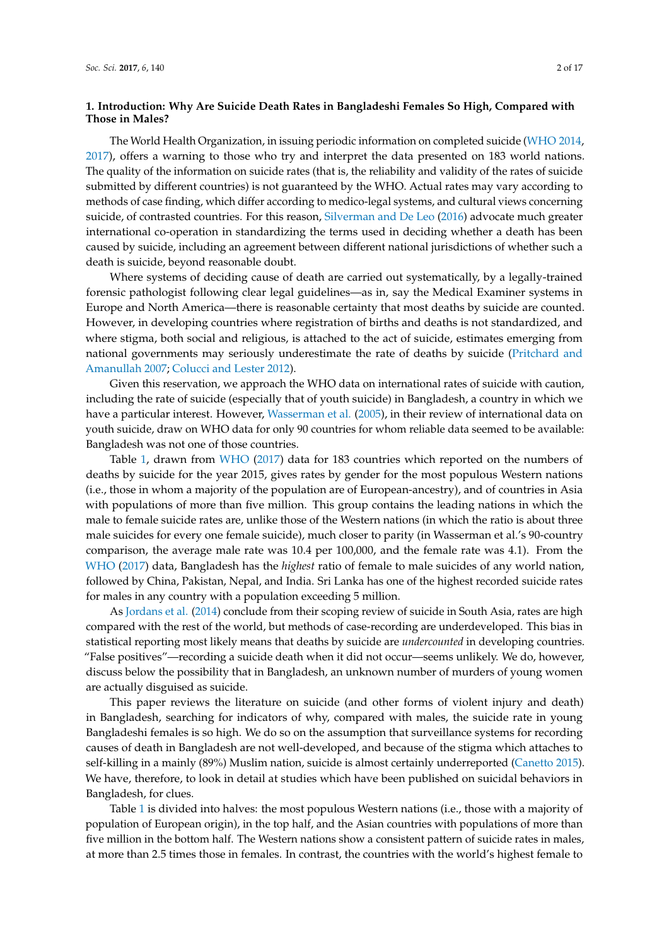### **1. Introduction: Why Are Suicide Death Rates in Bangladeshi Females So High, Compared with Those in Males?**

The World Health Organization, in issuing periodic information on completed suicide [\(WHO](#page-17-0) [2014,](#page-17-0) [2017\)](#page-17-1), offers a warning to those who try and interpret the data presented on 183 world nations. The quality of the information on suicide rates (that is, the reliability and validity of the rates of suicide submitted by different countries) is not guaranteed by the WHO. Actual rates may vary according to methods of case finding, which differ according to medico-legal systems, and cultural views concerning suicide, of contrasted countries. For this reason, [Silverman and De Leo](#page-16-1) [\(2016\)](#page-16-1) advocate much greater international co-operation in standardizing the terms used in deciding whether a death has been caused by suicide, including an agreement between different national jurisdictions of whether such a death is suicide, beyond reasonable doubt.

Where systems of deciding cause of death are carried out systematically, by a legally-trained forensic pathologist following clear legal guidelines—as in, say the Medical Examiner systems in Europe and North America—there is reasonable certainty that most deaths by suicide are counted. However, in developing countries where registration of births and deaths is not standardized, and where stigma, both social and religious, is attached to the act of suicide, estimates emerging from national governments may seriously underestimate the rate of deaths by suicide [\(Pritchard and](#page-16-2) [Amanullah](#page-16-2) [2007;](#page-16-2) [Colucci and Lester](#page-14-0) [2012\)](#page-14-0).

Given this reservation, we approach the WHO data on international rates of suicide with caution, including the rate of suicide (especially that of youth suicide) in Bangladesh, a country in which we have a particular interest. However, [Wasserman et al.](#page-17-2) [\(2005\)](#page-17-2), in their review of international data on youth suicide, draw on WHO data for only 90 countries for whom reliable data seemed to be available: Bangladesh was not one of those countries.

Table [1,](#page-3-0) drawn from [WHO](#page-17-1) [\(2017\)](#page-17-1) data for 183 countries which reported on the numbers of deaths by suicide for the year 2015, gives rates by gender for the most populous Western nations (i.e., those in whom a majority of the population are of European-ancestry), and of countries in Asia with populations of more than five million. This group contains the leading nations in which the male to female suicide rates are, unlike those of the Western nations (in which the ratio is about three male suicides for every one female suicide), much closer to parity (in Wasserman et al.'s 90-country comparison, the average male rate was 10.4 per 100,000, and the female rate was 4.1). From the [WHO](#page-17-1) [\(2017\)](#page-17-1) data, Bangladesh has the *highest* ratio of female to male suicides of any world nation, followed by China, Pakistan, Nepal, and India. Sri Lanka has one of the highest recorded suicide rates for males in any country with a population exceeding 5 million.

As [Jordans et al.](#page-15-0) [\(2014\)](#page-15-0) conclude from their scoping review of suicide in South Asia, rates are high compared with the rest of the world, but methods of case-recording are underdeveloped. This bias in statistical reporting most likely means that deaths by suicide are *undercounted* in developing countries. "False positives"—recording a suicide death when it did not occur—seems unlikely. We do, however, discuss below the possibility that in Bangladesh, an unknown number of murders of young women are actually disguised as suicide.

This paper reviews the literature on suicide (and other forms of violent injury and death) in Bangladesh, searching for indicators of why, compared with males, the suicide rate in young Bangladeshi females is so high. We do so on the assumption that surveillance systems for recording causes of death in Bangladesh are not well-developed, and because of the stigma which attaches to self-killing in a mainly (89%) Muslim nation, suicide is almost certainly underreported [\(Canetto](#page-14-1) [2015\)](#page-14-1). We have, therefore, to look in detail at studies which have been published on suicidal behaviors in Bangladesh, for clues.

Table [1](#page-3-0) is divided into halves: the most populous Western nations (i.e., those with a majority of population of European origin), in the top half, and the Asian countries with populations of more than five million in the bottom half. The Western nations show a consistent pattern of suicide rates in males, at more than 2.5 times those in females. In contrast, the countries with the world's highest female to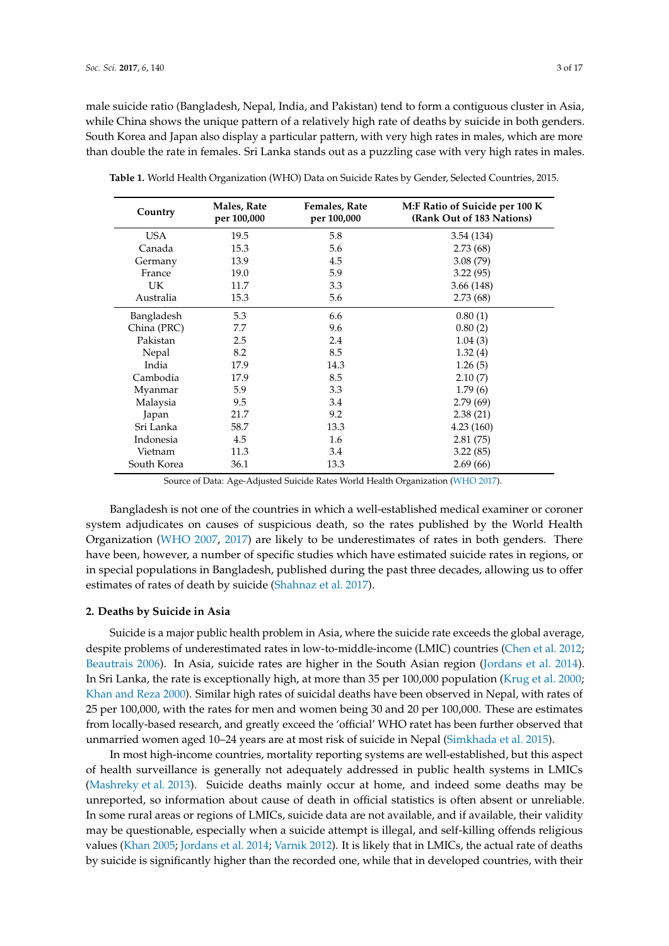male suicide ratio (Bangladesh, Nepal, India, and Pakistan) tend to form a contiguous cluster in Asia, while China shows the unique pattern of a relatively high rate of deaths by suicide in both genders. South Korea and Japan also display a particular pattern, with very high rates in males, which are more than double the rate in females. Sri Lanka stands out as a puzzling case with very high rates in males.

| Country     | Males, Rate<br>per 100,000 | Females, Rate<br>per 100,000 | M:F Ratio of Suicide per 100 K<br>(Rank Out of 183 Nations) |
|-------------|----------------------------|------------------------------|-------------------------------------------------------------|
| USA.        | 19.5                       | 5.8                          | 3.54(134)                                                   |
| Canada      | 15.3                       | 5.6                          | 2.73(68)                                                    |
| Germany     | 13.9                       | 4.5                          | 3.08(79)                                                    |
| France      | 19.0                       | 5.9                          | 3.22(95)                                                    |
| <b>UK</b>   | 11.7                       | 3.3                          | 3.66(148)                                                   |
| Australia   | 15.3                       | 5.6                          | 2.73(68)                                                    |
| Bangladesh  | 5.3                        | 6.6                          | 0.80(1)                                                     |
| China (PRC) | 7.7                        | 9.6                          | 0.80(2)                                                     |
| Pakistan    | 2.5                        | 2.4                          | 1.04(3)                                                     |
| Nepal       | 8.2                        | 8.5                          | 1.32(4)                                                     |
| India       | 17.9                       | 14.3                         | 1.26(5)                                                     |
| Cambodia    | 17.9                       | 8.5                          | 2.10(7)                                                     |
| Myanmar     | 5.9                        | 3.3                          | 1.79(6)                                                     |
| Malaysia    | 9.5                        | 3.4                          | 2.79(69)                                                    |
| Japan       | 21.7                       | 9.2                          | 2.38(21)                                                    |
| Sri Lanka   | 58.7                       | 13.3                         | 4.23(160)                                                   |
| Indonesia   | 4.5                        | 1.6                          | 2.81(75)                                                    |
| Vietnam     | 11.3                       | 3.4                          | 3.22(85)                                                    |
| South Korea | 36.1                       | 13.3                         | 2.69(66)                                                    |

<span id="page-3-0"></span>**Table 1.** World Health Organization (WHO) Data on Suicide Rates by Gender, Selected Countries, 2015.

Source of Data: Age-Adjusted Suicide Rates World Health Organization [\(WHO](#page-17-1) [2017\)](#page-17-1).

Bangladesh is not one of the countries in which a well-established medical examiner or coroner system adjudicates on causes of suspicious death, so the rates published by the World Health Organization [\(WHO](#page-17-3) [2007,](#page-17-3) [2017\)](#page-17-1) are likely to be underestimates of rates in both genders. There have been, however, a number of specific studies which have estimated suicide rates in regions, or in special populations in Bangladesh, published during the past three decades, allowing us to offer estimates of rates of death by suicide [\(Shahnaz et al.](#page-16-3) [2017\)](#page-16-3).

#### **2. Deaths by Suicide in Asia**

Suicide is a major public health problem in Asia, where the suicide rate exceeds the global average, despite problems of underestimated rates in low-to-middle-income (LMIC) countries [\(Chen et al.](#page-14-2) [2012;](#page-14-2) [Beautrais](#page-14-3) [2006\)](#page-14-3). In Asia, suicide rates are higher in the South Asian region [\(Jordans et al.](#page-15-0) [2014\)](#page-15-0). In Sri Lanka, the rate is exceptionally high, at more than 35 per 100,000 population [\(Krug et al.](#page-15-1) [2000;](#page-15-1) [Khan and Reza](#page-15-2) [2000\)](#page-15-2). Similar high rates of suicidal deaths have been observed in Nepal, with rates of 25 per 100,000, with the rates for men and women being 30 and 20 per 100,000. These are estimates from locally-based research, and greatly exceed the 'official' WHO ratet has been further observed that unmarried women aged 10–24 years are at most risk of suicide in Nepal [\(Simkhada et al.](#page-16-4) [2015\)](#page-16-4).

In most high-income countries, mortality reporting systems are well-established, but this aspect of health surveillance is generally not adequately addressed in public health systems in LMICs [\(Mashreky et al.](#page-16-5) [2013\)](#page-16-5). Suicide deaths mainly occur at home, and indeed some deaths may be unreported, so information about cause of death in official statistics is often absent or unreliable. In some rural areas or regions of LMICs, suicide data are not available, and if available, their validity may be questionable, especially when a suicide attempt is illegal, and self-killing offends religious values [\(Khan](#page-15-3) [2005;](#page-15-3) [Jordans et al.](#page-15-0) [2014;](#page-15-0) [Varnik](#page-16-6) [2012\)](#page-16-6). It is likely that in LMICs, the actual rate of deaths by suicide is significantly higher than the recorded one, while that in developed countries, with their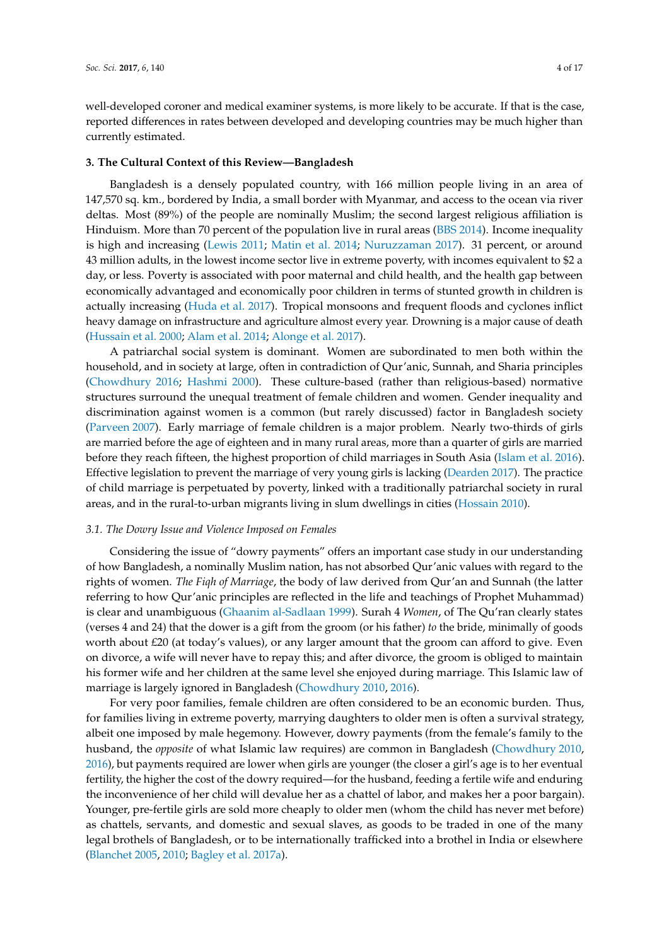well-developed coroner and medical examiner systems, is more likely to be accurate. If that is the case, reported differences in rates between developed and developing countries may be much higher than currently estimated.

#### **3. The Cultural Context of this Review—Bangladesh**

Bangladesh is a densely populated country, with 166 million people living in an area of 147,570 sq. km., bordered by India, a small border with Myanmar, and access to the ocean via river deltas. Most (89%) of the people are nominally Muslim; the second largest religious affiliation is Hinduism. More than 70 percent of the population live in rural areas [\(BBS](#page-14-4) [2014\)](#page-14-4). Income inequality is high and increasing [\(Lewis](#page-16-7) [2011;](#page-16-7) [Matin et al.](#page-16-8) [2014;](#page-16-8) [Nuruzzaman](#page-16-9) [2017\)](#page-16-9). 31 percent, or around 43 million adults, in the lowest income sector live in extreme poverty, with incomes equivalent to \$2 a day, or less. Poverty is associated with poor maternal and child health, and the health gap between economically advantaged and economically poor children in terms of stunted growth in children is actually increasing [\(Huda et al.](#page-15-4) [2017\)](#page-15-4). Tropical monsoons and frequent floods and cyclones inflict heavy damage on infrastructure and agriculture almost every year. Drowning is a major cause of death [\(Hussain et al.](#page-15-5) [2000;](#page-15-5) [Alam et al.](#page-14-5) [2014;](#page-14-5) [Alonge et al.](#page-14-6) [2017\)](#page-14-6).

A patriarchal social system is dominant. Women are subordinated to men both within the household, and in society at large, often in contradiction of Qur'anic, Sunnah, and Sharia principles [\(Chowdhury](#page-14-7) [2016;](#page-14-7) [Hashmi](#page-15-6) [2000\)](#page-15-6). These culture-based (rather than religious-based) normative structures surround the unequal treatment of female children and women. Gender inequality and discrimination against women is a common (but rarely discussed) factor in Bangladesh society [\(Parveen](#page-16-10) [2007\)](#page-16-10). Early marriage of female children is a major problem. Nearly two-thirds of girls are married before the age of eighteen and in many rural areas, more than a quarter of girls are married before they reach fifteen, the highest proportion of child marriages in South Asia [\(Islam et al.](#page-15-7) [2016\)](#page-15-7). Effective legislation to prevent the marriage of very young girls is lacking [\(Dearden](#page-14-8) [2017\)](#page-14-8). The practice of child marriage is perpetuated by poverty, linked with a traditionally patriarchal society in rural areas, and in the rural-to-urban migrants living in slum dwellings in cities [\(Hossain](#page-15-8) [2010\)](#page-15-8).

## *3.1. The Dowry Issue and Violence Imposed on Females*

Considering the issue of "dowry payments" offers an important case study in our understanding of how Bangladesh, a nominally Muslim nation, has not absorbed Qur'anic values with regard to the rights of women. *The Fiqh of Marriage*, the body of law derived from Qur'an and Sunnah (the latter referring to how Qur'anic principles are reflected in the life and teachings of Prophet Muhammad) is clear and unambiguous [\(Ghaanim al-Sadlaan](#page-15-9) [1999\)](#page-15-9). Surah 4 *Women*, of The Qu'ran clearly states (verses 4 and 24) that the dower is a gift from the groom (or his father) *to* the bride, minimally of goods worth about £20 (at today's values), or any larger amount that the groom can afford to give. Even on divorce, a wife will never have to repay this; and after divorce, the groom is obliged to maintain his former wife and her children at the same level she enjoyed during marriage. This Islamic law of marriage is largely ignored in Bangladesh [\(Chowdhury](#page-14-9) [2010,](#page-14-9) [2016\)](#page-14-7).

For very poor families, female children are often considered to be an economic burden. Thus, for families living in extreme poverty, marrying daughters to older men is often a survival strategy, albeit one imposed by male hegemony. However, dowry payments (from the female's family to the husband, the *opposite* of what Islamic law requires) are common in Bangladesh [\(Chowdhury](#page-14-9) [2010,](#page-14-9) [2016\)](#page-14-7), but payments required are lower when girls are younger (the closer a girl's age is to her eventual fertility, the higher the cost of the dowry required—for the husband, feeding a fertile wife and enduring the inconvenience of her child will devalue her as a chattel of labor, and makes her a poor bargain). Younger, pre-fertile girls are sold more cheaply to older men (whom the child has never met before) as chattels, servants, and domestic and sexual slaves, as goods to be traded in one of the many legal brothels of Bangladesh, or to be internationally trafficked into a brothel in India or elsewhere [\(Blanchet](#page-14-10) [2005,](#page-14-10) [2010;](#page-14-11) [Bagley et al.](#page-14-12) [2017a\)](#page-14-12).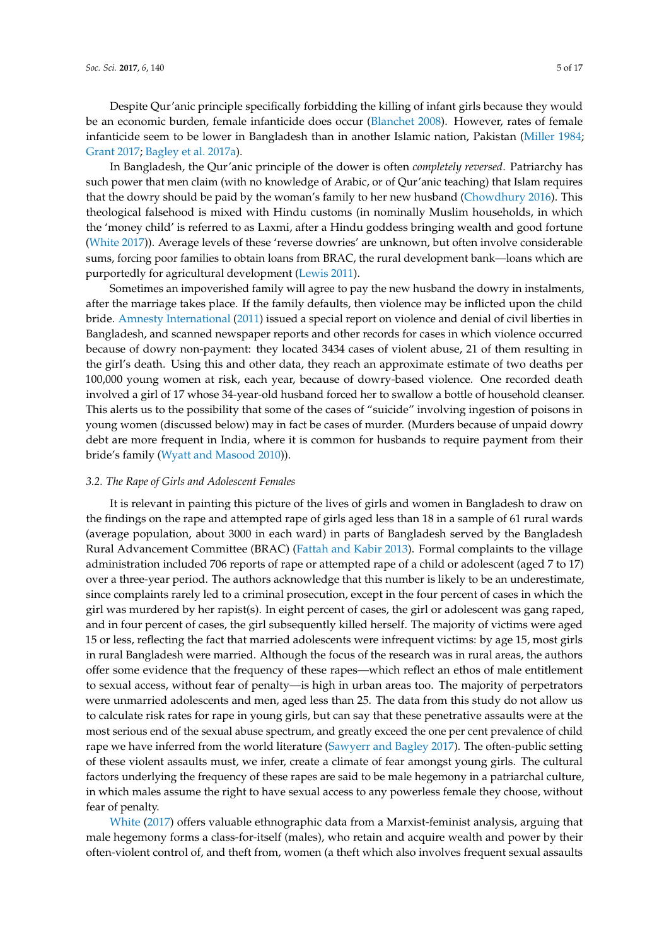Despite Qur'anic principle specifically forbidding the killing of infant girls because they would be an economic burden, female infanticide does occur [\(Blanchet](#page-14-13) [2008\)](#page-14-13). However, rates of female infanticide seem to be lower in Bangladesh than in another Islamic nation, Pakistan [\(Miller](#page-16-11) [1984;](#page-16-11) [Grant](#page-15-10) [2017;](#page-15-10) [Bagley et al.](#page-14-12) [2017a\)](#page-14-12).

In Bangladesh, the Qur'anic principle of the dower is often *completely reversed*. Patriarchy has such power that men claim (with no knowledge of Arabic, or of Qur'anic teaching) that Islam requires that the dowry should be paid by the woman's family to her new husband [\(Chowdhury](#page-14-7) [2016\)](#page-14-7). This theological falsehood is mixed with Hindu customs (in nominally Muslim households, in which the 'money child' is referred to as Laxmi, after a Hindu goddess bringing wealth and good fortune [\(White](#page-17-4) [2017\)](#page-17-4)). Average levels of these 'reverse dowries' are unknown, but often involve considerable sums, forcing poor families to obtain loans from BRAC, the rural development bank—loans which are purportedly for agricultural development [\(Lewis](#page-16-7) [2011\)](#page-16-7).

Sometimes an impoverished family will agree to pay the new husband the dowry in instalments, after the marriage takes place. If the family defaults, then violence may be inflicted upon the child bride. [Amnesty International](#page-14-14) [\(2011\)](#page-14-14) issued a special report on violence and denial of civil liberties in Bangladesh, and scanned newspaper reports and other records for cases in which violence occurred because of dowry non-payment: they located 3434 cases of violent abuse, 21 of them resulting in the girl's death. Using this and other data, they reach an approximate estimate of two deaths per 100,000 young women at risk, each year, because of dowry-based violence. One recorded death involved a girl of 17 whose 34-year-old husband forced her to swallow a bottle of household cleanser. This alerts us to the possibility that some of the cases of "suicide" involving ingestion of poisons in young women (discussed below) may in fact be cases of murder. (Murders because of unpaid dowry debt are more frequent in India, where it is common for husbands to require payment from their bride's family [\(Wyatt and Masood](#page-17-5) [2010\)](#page-17-5)).

#### *3.2. The Rape of Girls and Adolescent Females*

It is relevant in painting this picture of the lives of girls and women in Bangladesh to draw on the findings on the rape and attempted rape of girls aged less than 18 in a sample of 61 rural wards (average population, about 3000 in each ward) in parts of Bangladesh served by the Bangladesh Rural Advancement Committee (BRAC) [\(Fattah and Kabir](#page-15-11) [2013\)](#page-15-11). Formal complaints to the village administration included 706 reports of rape or attempted rape of a child or adolescent (aged 7 to 17) over a three-year period. The authors acknowledge that this number is likely to be an underestimate, since complaints rarely led to a criminal prosecution, except in the four percent of cases in which the girl was murdered by her rapist(s). In eight percent of cases, the girl or adolescent was gang raped, and in four percent of cases, the girl subsequently killed herself. The majority of victims were aged 15 or less, reflecting the fact that married adolescents were infrequent victims: by age 15, most girls in rural Bangladesh were married. Although the focus of the research was in rural areas, the authors offer some evidence that the frequency of these rapes—which reflect an ethos of male entitlement to sexual access, without fear of penalty—is high in urban areas too. The majority of perpetrators were unmarried adolescents and men, aged less than 25. The data from this study do not allow us to calculate risk rates for rape in young girls, but can say that these penetrative assaults were at the most serious end of the sexual abuse spectrum, and greatly exceed the one per cent prevalence of child rape we have inferred from the world literature [\(Sawyerr and Bagley](#page-16-12) [2017\)](#page-16-12). The often-public setting of these violent assaults must, we infer, create a climate of fear amongst young girls. The cultural factors underlying the frequency of these rapes are said to be male hegemony in a patriarchal culture, in which males assume the right to have sexual access to any powerless female they choose, without fear of penalty.

[White](#page-17-4) [\(2017\)](#page-17-4) offers valuable ethnographic data from a Marxist-feminist analysis, arguing that male hegemony forms a class-for-itself (males), who retain and acquire wealth and power by their often-violent control of, and theft from, women (a theft which also involves frequent sexual assaults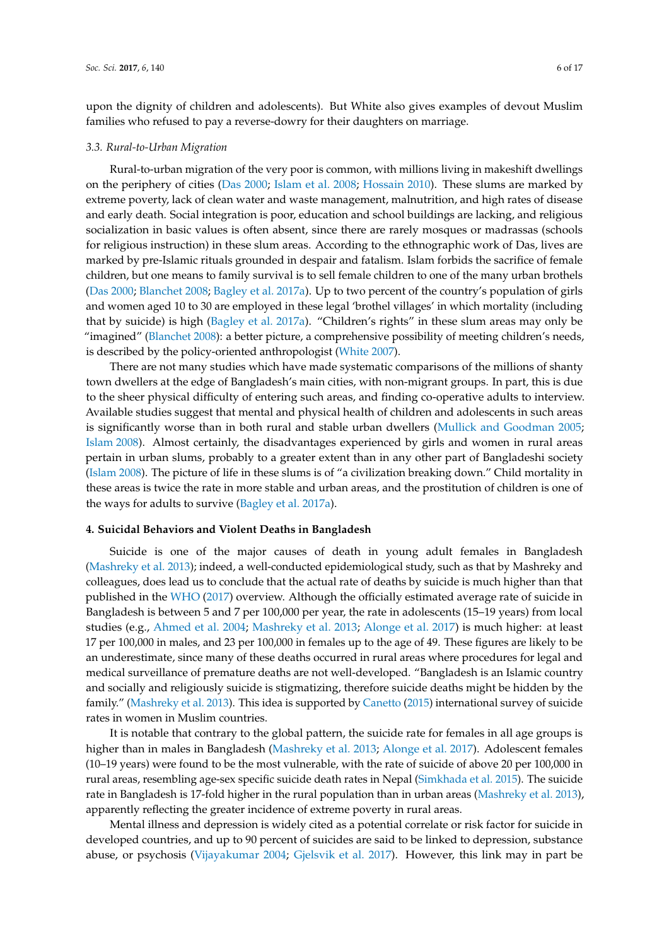upon the dignity of children and adolescents). But White also gives examples of devout Muslim families who refused to pay a reverse-dowry for their daughters on marriage.

#### *3.3. Rural-to-Urban Migration*

Rural-to-urban migration of the very poor is common, with millions living in makeshift dwellings on the periphery of cities [\(Das](#page-14-15) [2000;](#page-14-15) [Islam et al.](#page-15-12) [2008;](#page-15-12) [Hossain](#page-15-8) [2010\)](#page-15-8). These slums are marked by extreme poverty, lack of clean water and waste management, malnutrition, and high rates of disease and early death. Social integration is poor, education and school buildings are lacking, and religious socialization in basic values is often absent, since there are rarely mosques or madrassas (schools for religious instruction) in these slum areas. According to the ethnographic work of Das, lives are marked by pre-Islamic rituals grounded in despair and fatalism. Islam forbids the sacrifice of female children, but one means to family survival is to sell female children to one of the many urban brothels [\(Das](#page-14-15) [2000;](#page-14-15) [Blanchet](#page-14-13) [2008;](#page-14-13) [Bagley et al.](#page-14-12) [2017a\)](#page-14-12). Up to two percent of the country's population of girls and women aged 10 to 30 are employed in these legal 'brothel villages' in which mortality (including that by suicide) is high [\(Bagley et al.](#page-14-12) [2017a\)](#page-14-12). "Children's rights" in these slum areas may only be "imagined" [\(Blanchet](#page-14-13) [2008\)](#page-14-13): a better picture, a comprehensive possibility of meeting children's needs, is described by the policy-oriented anthropologist [\(White](#page-17-6) [2007\)](#page-17-6).

There are not many studies which have made systematic comparisons of the millions of shanty town dwellers at the edge of Bangladesh's main cities, with non-migrant groups. In part, this is due to the sheer physical difficulty of entering such areas, and finding co-operative adults to interview. Available studies suggest that mental and physical health of children and adolescents in such areas is significantly worse than in both rural and stable urban dwellers [\(Mullick and Goodman](#page-16-13) [2005;](#page-16-13) [Islam](#page-15-13) [2008\)](#page-15-13). Almost certainly, the disadvantages experienced by girls and women in rural areas pertain in urban slums, probably to a greater extent than in any other part of Bangladeshi society [\(Islam](#page-15-13) [2008\)](#page-15-13). The picture of life in these slums is of "a civilization breaking down." Child mortality in these areas is twice the rate in more stable and urban areas, and the prostitution of children is one of the ways for adults to survive [\(Bagley et al.](#page-14-12) [2017a\)](#page-14-12).

#### **4. Suicidal Behaviors and Violent Deaths in Bangladesh**

Suicide is one of the major causes of death in young adult females in Bangladesh [\(Mashreky et al.](#page-16-5) [2013\)](#page-16-5); indeed, a well-conducted epidemiological study, such as that by Mashreky and colleagues, does lead us to conclude that the actual rate of deaths by suicide is much higher than that published in the [WHO](#page-17-1) [\(2017\)](#page-17-1) overview. Although the officially estimated average rate of suicide in Bangladesh is between 5 and 7 per 100,000 per year, the rate in adolescents (15–19 years) from local studies (e.g., [Ahmed et al.](#page-14-16) [2004;](#page-14-16) [Mashreky et al.](#page-16-5) [2013;](#page-16-5) [Alonge et al.](#page-14-6) [2017\)](#page-14-6) is much higher: at least 17 per 100,000 in males, and 23 per 100,000 in females up to the age of 49. These figures are likely to be an underestimate, since many of these deaths occurred in rural areas where procedures for legal and medical surveillance of premature deaths are not well-developed. "Bangladesh is an Islamic country and socially and religiously suicide is stigmatizing, therefore suicide deaths might be hidden by the family." [\(Mashreky et al.](#page-16-5) [2013\)](#page-16-5). This idea is supported by [Canetto](#page-14-1) [\(2015\)](#page-14-1) international survey of suicide rates in women in Muslim countries.

It is notable that contrary to the global pattern, the suicide rate for females in all age groups is higher than in males in Bangladesh [\(Mashreky et al.](#page-16-5) [2013;](#page-16-5) [Alonge et al.](#page-14-6) [2017\)](#page-14-6). Adolescent females (10–19 years) were found to be the most vulnerable, with the rate of suicide of above 20 per 100,000 in rural areas, resembling age-sex specific suicide death rates in Nepal [\(Simkhada et al.](#page-16-4) [2015\)](#page-16-4). The suicide rate in Bangladesh is 17-fold higher in the rural population than in urban areas [\(Mashreky et al.](#page-16-5) [2013\)](#page-16-5), apparently reflecting the greater incidence of extreme poverty in rural areas.

Mental illness and depression is widely cited as a potential correlate or risk factor for suicide in developed countries, and up to 90 percent of suicides are said to be linked to depression, substance abuse, or psychosis [\(Vijayakumar](#page-16-14) [2004;](#page-16-14) [Gjelsvik et al.](#page-15-14) [2017\)](#page-15-14). However, this link may in part be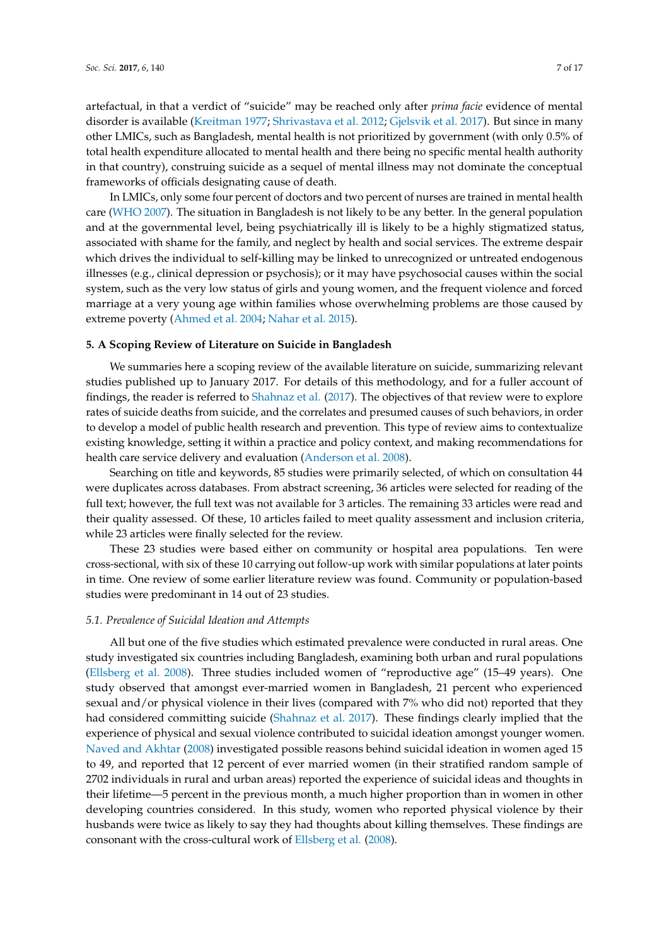artefactual, in that a verdict of "suicide" may be reached only after *prima facie* evidence of mental disorder is available [\(Kreitman](#page-15-15) [1977;](#page-15-15) [Shrivastava et al.](#page-16-15) [2012;](#page-16-15) [Gjelsvik et al.](#page-15-14) [2017\)](#page-15-14). But since in many other LMICs, such as Bangladesh, mental health is not prioritized by government (with only 0.5% of total health expenditure allocated to mental health and there being no specific mental health authority in that country), construing suicide as a sequel of mental illness may not dominate the conceptual frameworks of officials designating cause of death.

In LMICs, only some four percent of doctors and two percent of nurses are trained in mental health care [\(WHO](#page-17-3) [2007\)](#page-17-3). The situation in Bangladesh is not likely to be any better. In the general population and at the governmental level, being psychiatrically ill is likely to be a highly stigmatized status, associated with shame for the family, and neglect by health and social services. The extreme despair which drives the individual to self-killing may be linked to unrecognized or untreated endogenous illnesses (e.g., clinical depression or psychosis); or it may have psychosocial causes within the social system, such as the very low status of girls and young women, and the frequent violence and forced marriage at a very young age within families whose overwhelming problems are those caused by extreme poverty [\(Ahmed et al.](#page-14-16) [2004;](#page-14-16) [Nahar et al.](#page-16-16) [2015\)](#page-16-16).

#### **5. A Scoping Review of Literature on Suicide in Bangladesh**

We summaries here a scoping review of the available literature on suicide, summarizing relevant studies published up to January 2017. For details of this methodology, and for a fuller account of findings, the reader is referred to [Shahnaz et al.](#page-16-3) [\(2017\)](#page-16-3). The objectives of that review were to explore rates of suicide deaths from suicide, and the correlates and presumed causes of such behaviors, in order to develop a model of public health research and prevention. This type of review aims to contextualize existing knowledge, setting it within a practice and policy context, and making recommendations for health care service delivery and evaluation [\(Anderson et al.](#page-14-17) [2008\)](#page-14-17).

Searching on title and keywords, 85 studies were primarily selected, of which on consultation 44 were duplicates across databases. From abstract screening, 36 articles were selected for reading of the full text; however, the full text was not available for 3 articles. The remaining 33 articles were read and their quality assessed. Of these, 10 articles failed to meet quality assessment and inclusion criteria, while 23 articles were finally selected for the review.

These 23 studies were based either on community or hospital area populations. Ten were cross-sectional, with six of these 10 carrying out follow-up work with similar populations at later points in time. One review of some earlier literature review was found. Community or population-based studies were predominant in 14 out of 23 studies.

#### *5.1. Prevalence of Suicidal Ideation and Attempts*

All but one of the five studies which estimated prevalence were conducted in rural areas. One study investigated six countries including Bangladesh, examining both urban and rural populations [\(Ellsberg et al.](#page-14-18) [2008\)](#page-14-18). Three studies included women of "reproductive age" (15–49 years). One study observed that amongst ever-married women in Bangladesh, 21 percent who experienced sexual and/or physical violence in their lives (compared with 7% who did not) reported that they had considered committing suicide [\(Shahnaz et al.](#page-16-3) [2017\)](#page-16-3). These findings clearly implied that the experience of physical and sexual violence contributed to suicidal ideation amongst younger women. [Naved and Akhtar](#page-16-17) [\(2008\)](#page-16-17) investigated possible reasons behind suicidal ideation in women aged 15 to 49, and reported that 12 percent of ever married women (in their stratified random sample of 2702 individuals in rural and urban areas) reported the experience of suicidal ideas and thoughts in their lifetime—5 percent in the previous month, a much higher proportion than in women in other developing countries considered. In this study, women who reported physical violence by their husbands were twice as likely to say they had thoughts about killing themselves. These findings are consonant with the cross-cultural work of [Ellsberg et al.](#page-14-18) [\(2008\)](#page-14-18).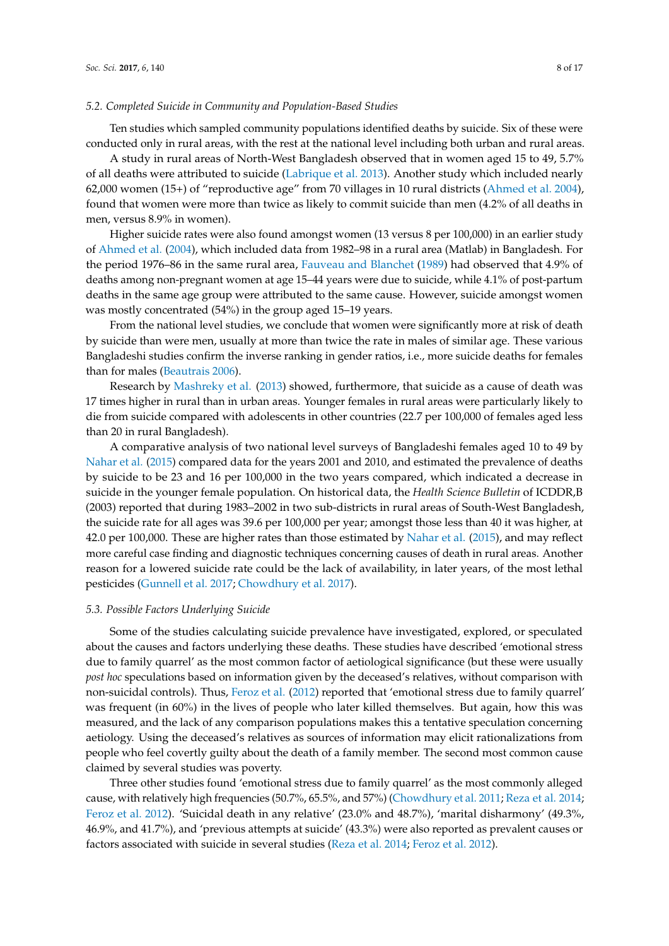#### *5.2. Completed Suicide in Community and Population-Based Studies*

Ten studies which sampled community populations identified deaths by suicide. Six of these were conducted only in rural areas, with the rest at the national level including both urban and rural areas.

A study in rural areas of North-West Bangladesh observed that in women aged 15 to 49, 5.7% of all deaths were attributed to suicide [\(Labrique et al.](#page-16-18) [2013\)](#page-16-18). Another study which included nearly 62,000 women (15+) of "reproductive age" from 70 villages in 10 rural districts [\(Ahmed et al.](#page-14-16) [2004\)](#page-14-16), found that women were more than twice as likely to commit suicide than men (4.2% of all deaths in men, versus 8.9% in women).

Higher suicide rates were also found amongst women (13 versus 8 per 100,000) in an earlier study of [Ahmed et al.](#page-14-16) [\(2004\)](#page-14-16), which included data from 1982–98 in a rural area (Matlab) in Bangladesh. For the period 1976–86 in the same rural area, [Fauveau and Blanchet](#page-15-16) [\(1989\)](#page-15-16) had observed that 4.9% of deaths among non-pregnant women at age 15–44 years were due to suicide, while 4.1% of post-partum deaths in the same age group were attributed to the same cause. However, suicide amongst women was mostly concentrated (54%) in the group aged 15–19 years.

From the national level studies, we conclude that women were significantly more at risk of death by suicide than were men, usually at more than twice the rate in males of similar age. These various Bangladeshi studies confirm the inverse ranking in gender ratios, i.e., more suicide deaths for females than for males [\(Beautrais](#page-14-3) [2006\)](#page-14-3).

Research by [Mashreky et al.](#page-16-5) [\(2013\)](#page-16-5) showed, furthermore, that suicide as a cause of death was 17 times higher in rural than in urban areas. Younger females in rural areas were particularly likely to die from suicide compared with adolescents in other countries (22.7 per 100,000 of females aged less than 20 in rural Bangladesh).

A comparative analysis of two national level surveys of Bangladeshi females aged 10 to 49 by [Nahar et al.](#page-16-16) [\(2015\)](#page-16-16) compared data for the years 2001 and 2010, and estimated the prevalence of deaths by suicide to be 23 and 16 per 100,000 in the two years compared, which indicated a decrease in suicide in the younger female population. On historical data, the *Health Science Bulletin* of ICDDR,B (2003) reported that during 1983–2002 in two sub-districts in rural areas of South-West Bangladesh, the suicide rate for all ages was 39.6 per 100,000 per year; amongst those less than 40 it was higher, at 42.0 per 100,000. These are higher rates than those estimated by [Nahar et al.](#page-16-16) [\(2015\)](#page-16-16), and may reflect more careful case finding and diagnostic techniques concerning causes of death in rural areas. Another reason for a lowered suicide rate could be the lack of availability, in later years, of the most lethal pesticides [\(Gunnell et al.](#page-15-17) [2017;](#page-15-17) [Chowdhury et al.](#page-14-19) [2017\)](#page-14-19).

#### *5.3. Possible Factors Underlying Suicide*

Some of the studies calculating suicide prevalence have investigated, explored, or speculated about the causes and factors underlying these deaths. These studies have described 'emotional stress due to family quarrel' as the most common factor of aetiological significance (but these were usually *post hoc* speculations based on information given by the deceased's relatives, without comparison with non-suicidal controls). Thus, [Feroz et al.](#page-15-18) [\(2012\)](#page-15-18) reported that 'emotional stress due to family quarrel' was frequent (in 60%) in the lives of people who later killed themselves. But again, how this was measured, and the lack of any comparison populations makes this a tentative speculation concerning aetiology. Using the deceased's relatives as sources of information may elicit rationalizations from people who feel covertly guilty about the death of a family member. The second most common cause claimed by several studies was poverty.

Three other studies found 'emotional stress due to family quarrel' as the most commonly alleged cause, with relatively high frequencies (50.7%, 65.5%, and 57%) [\(Chowdhury et al.](#page-14-20) [2011;](#page-14-20) [Reza et al.](#page-16-19) [2014;](#page-16-19) [Feroz et al.](#page-15-18) [2012\)](#page-15-18). 'Suicidal death in any relative' (23.0% and 48.7%), 'marital disharmony' (49.3%, 46.9%, and 41.7%), and 'previous attempts at suicide' (43.3%) were also reported as prevalent causes or factors associated with suicide in several studies [\(Reza et al.](#page-16-19) [2014;](#page-16-19) [Feroz et al.](#page-15-18) [2012\)](#page-15-18).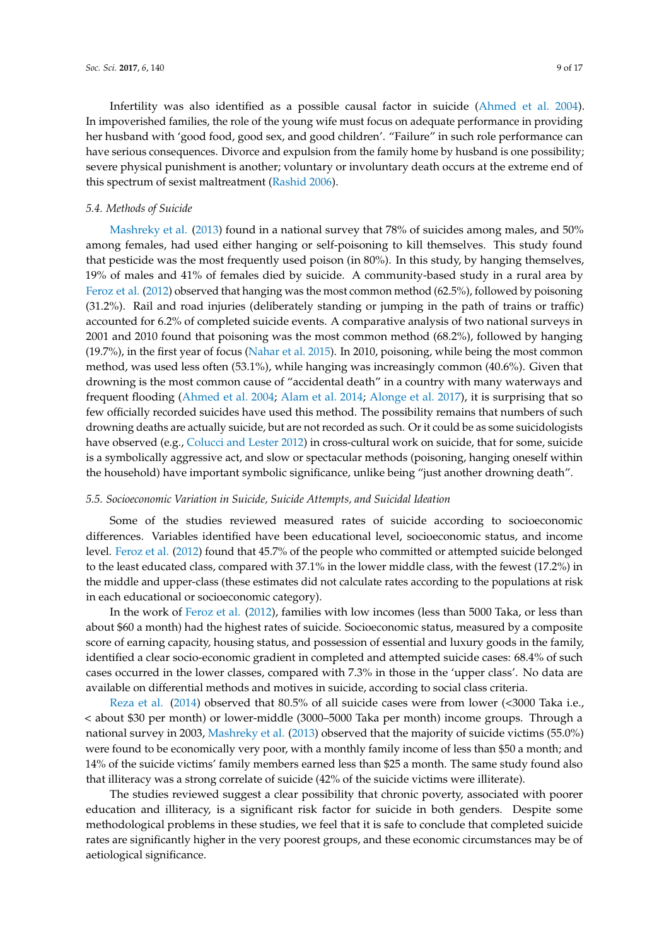Infertility was also identified as a possible causal factor in suicide [\(Ahmed et al.](#page-14-16) [2004\)](#page-14-16). In impoverished families, the role of the young wife must focus on adequate performance in providing her husband with 'good food, good sex, and good children'. "Failure" in such role performance can have serious consequences. Divorce and expulsion from the family home by husband is one possibility; severe physical punishment is another; voluntary or involuntary death occurs at the extreme end of this spectrum of sexist maltreatment [\(Rashid](#page-16-20) [2006\)](#page-16-20).

#### *5.4. Methods of Suicide*

[Mashreky et al.](#page-16-5) [\(2013\)](#page-16-5) found in a national survey that 78% of suicides among males, and 50% among females, had used either hanging or self-poisoning to kill themselves. This study found that pesticide was the most frequently used poison (in 80%). In this study, by hanging themselves, 19% of males and 41% of females died by suicide. A community-based study in a rural area by [Feroz et al.](#page-15-18) [\(2012\)](#page-15-18) observed that hanging was the most common method (62.5%), followed by poisoning (31.2%). Rail and road injuries (deliberately standing or jumping in the path of trains or traffic) accounted for 6.2% of completed suicide events. A comparative analysis of two national surveys in 2001 and 2010 found that poisoning was the most common method (68.2%), followed by hanging (19.7%), in the first year of focus [\(Nahar et al.](#page-16-16) [2015\)](#page-16-16). In 2010, poisoning, while being the most common method, was used less often (53.1%), while hanging was increasingly common (40.6%). Given that drowning is the most common cause of "accidental death" in a country with many waterways and frequent flooding [\(Ahmed et al.](#page-14-16) [2004;](#page-14-16) [Alam et al.](#page-14-5) [2014;](#page-14-5) [Alonge et al.](#page-14-6) [2017\)](#page-14-6), it is surprising that so few officially recorded suicides have used this method. The possibility remains that numbers of such drowning deaths are actually suicide, but are not recorded as such. Or it could be as some suicidologists have observed (e.g., [Colucci and Lester](#page-14-0) [2012\)](#page-14-0) in cross-cultural work on suicide, that for some, suicide is a symbolically aggressive act, and slow or spectacular methods (poisoning, hanging oneself within the household) have important symbolic significance, unlike being "just another drowning death".

#### *5.5. Socioeconomic Variation in Suicide, Suicide Attempts, and Suicidal Ideation*

Some of the studies reviewed measured rates of suicide according to socioeconomic differences. Variables identified have been educational level, socioeconomic status, and income level. [Feroz et al.](#page-15-18) [\(2012\)](#page-15-18) found that 45.7% of the people who committed or attempted suicide belonged to the least educated class, compared with 37.1% in the lower middle class, with the fewest (17.2%) in the middle and upper-class (these estimates did not calculate rates according to the populations at risk in each educational or socioeconomic category).

In the work of [Feroz et al.](#page-15-18) [\(2012\)](#page-15-18), families with low incomes (less than 5000 Taka, or less than about \$60 a month) had the highest rates of suicide. Socioeconomic status, measured by a composite score of earning capacity, housing status, and possession of essential and luxury goods in the family, identified a clear socio-economic gradient in completed and attempted suicide cases: 68.4% of such cases occurred in the lower classes, compared with 7.3% in those in the 'upper class'. No data are available on differential methods and motives in suicide, according to social class criteria.

[Reza et al.](#page-16-19) [\(2014\)](#page-16-19) observed that 80.5% of all suicide cases were from lower (<3000 Taka i.e., < about \$30 per month) or lower-middle (3000–5000 Taka per month) income groups. Through a national survey in 2003, [Mashreky et al.](#page-16-5) [\(2013\)](#page-16-5) observed that the majority of suicide victims (55.0%) were found to be economically very poor, with a monthly family income of less than \$50 a month; and 14% of the suicide victims' family members earned less than \$25 a month. The same study found also that illiteracy was a strong correlate of suicide (42% of the suicide victims were illiterate).

The studies reviewed suggest a clear possibility that chronic poverty, associated with poorer education and illiteracy, is a significant risk factor for suicide in both genders. Despite some methodological problems in these studies, we feel that it is safe to conclude that completed suicide rates are significantly higher in the very poorest groups, and these economic circumstances may be of aetiological significance.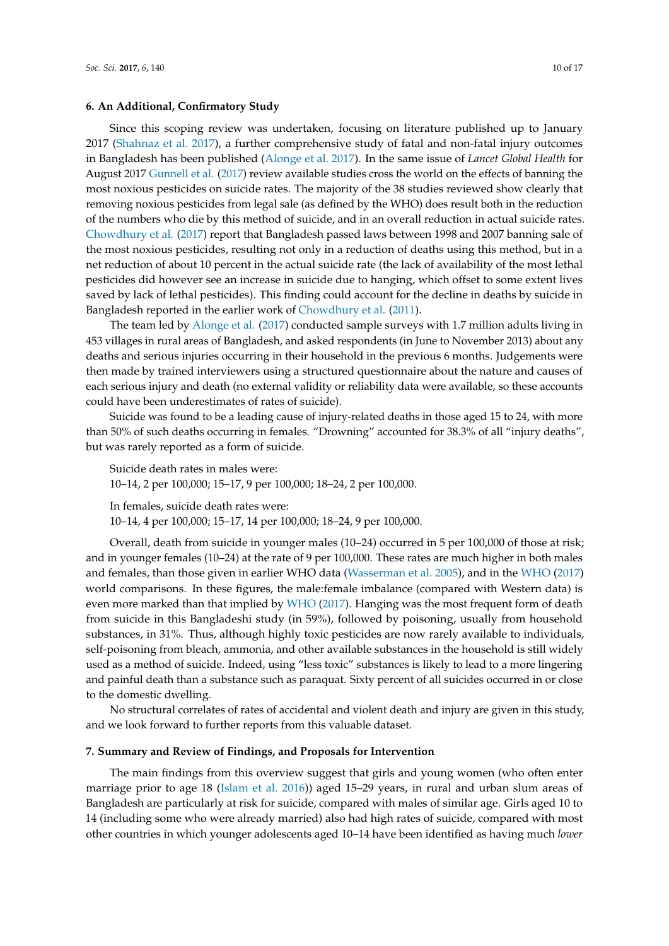#### **6. An Additional, Confirmatory Study**

Since this scoping review was undertaken, focusing on literature published up to January 2017 [\(Shahnaz et al.](#page-16-3) [2017\)](#page-16-3), a further comprehensive study of fatal and non-fatal injury outcomes in Bangladesh has been published [\(Alonge et al.](#page-14-6) [2017\)](#page-14-6). In the same issue of *Lancet Global Health* for August 2017 [Gunnell et al.](#page-15-17) [\(2017\)](#page-15-17) review available studies cross the world on the effects of banning the most noxious pesticides on suicide rates. The majority of the 38 studies reviewed show clearly that removing noxious pesticides from legal sale (as defined by the WHO) does result both in the reduction of the numbers who die by this method of suicide, and in an overall reduction in actual suicide rates. [Chowdhury et al.](#page-14-19) [\(2017\)](#page-14-19) report that Bangladesh passed laws between 1998 and 2007 banning sale of the most noxious pesticides, resulting not only in a reduction of deaths using this method, but in a net reduction of about 10 percent in the actual suicide rate (the lack of availability of the most lethal pesticides did however see an increase in suicide due to hanging, which offset to some extent lives saved by lack of lethal pesticides). This finding could account for the decline in deaths by suicide in Bangladesh reported in the earlier work of [Chowdhury et al.](#page-14-20) [\(2011\)](#page-14-20).

The team led by [Alonge et al.](#page-14-6) [\(2017\)](#page-14-6) conducted sample surveys with 1.7 million adults living in 453 villages in rural areas of Bangladesh, and asked respondents (in June to November 2013) about any deaths and serious injuries occurring in their household in the previous 6 months. Judgements were then made by trained interviewers using a structured questionnaire about the nature and causes of each serious injury and death (no external validity or reliability data were available, so these accounts could have been underestimates of rates of suicide).

Suicide was found to be a leading cause of injury-related deaths in those aged 15 to 24, with more than 50% of such deaths occurring in females. "Drowning" accounted for 38.3% of all "injury deaths", but was rarely reported as a form of suicide.

Suicide death rates in males were: 10–14, 2 per 100,000; 15–17, 9 per 100,000; 18–24, 2 per 100,000. In females, suicide death rates were:

10–14, 4 per 100,000; 15–17, 14 per 100,000; 18–24, 9 per 100,000.

Overall, death from suicide in younger males (10–24) occurred in 5 per 100,000 of those at risk; and in younger females (10–24) at the rate of 9 per 100,000. These rates are much higher in both males and females, than those given in earlier WHO data [\(Wasserman et al.](#page-17-2) [2005\)](#page-17-2), and in the [WHO](#page-17-1) [\(2017\)](#page-17-1) world comparisons. In these figures, the male:female imbalance (compared with Western data) is even more marked than that implied by [WHO](#page-17-1) [\(2017\)](#page-17-1). Hanging was the most frequent form of death from suicide in this Bangladeshi study (in 59%), followed by poisoning, usually from household substances, in 31%. Thus, although highly toxic pesticides are now rarely available to individuals, self-poisoning from bleach, ammonia, and other available substances in the household is still widely used as a method of suicide. Indeed, using "less toxic" substances is likely to lead to a more lingering and painful death than a substance such as paraquat. Sixty percent of all suicides occurred in or close to the domestic dwelling.

No structural correlates of rates of accidental and violent death and injury are given in this study, and we look forward to further reports from this valuable dataset.

#### **7. Summary and Review of Findings, and Proposals for Intervention**

The main findings from this overview suggest that girls and young women (who often enter marriage prior to age 18 [\(Islam et al.](#page-15-7) [2016\)](#page-15-7)) aged 15–29 years, in rural and urban slum areas of Bangladesh are particularly at risk for suicide, compared with males of similar age. Girls aged 10 to 14 (including some who were already married) also had high rates of suicide, compared with most other countries in which younger adolescents aged 10–14 have been identified as having much *lower*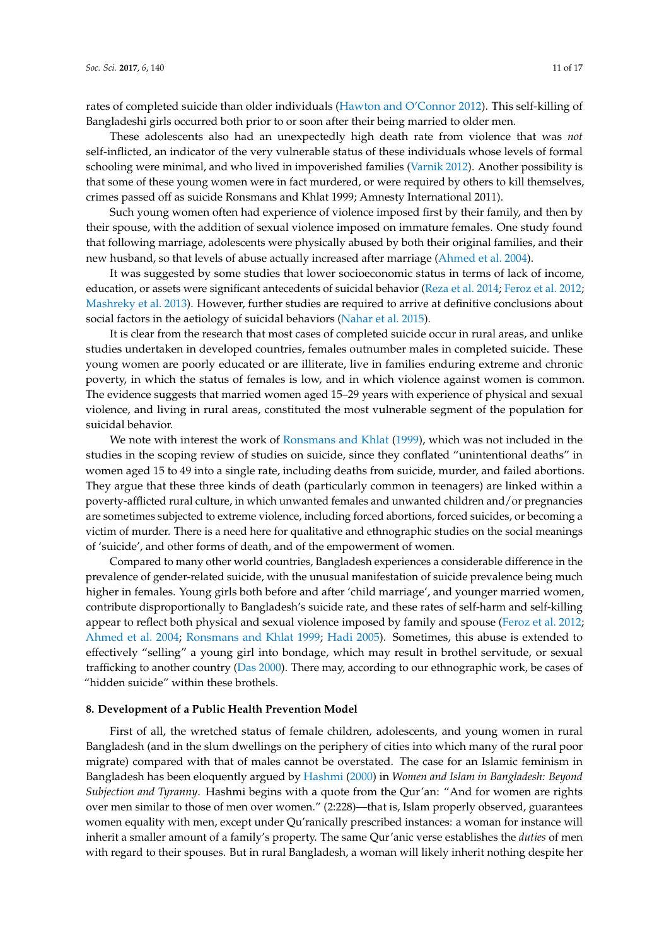rates of completed suicide than older individuals [\(Hawton and O'Connor](#page-15-19) [2012\)](#page-15-19). This self-killing of Bangladeshi girls occurred both prior to or soon after their being married to older men.

These adolescents also had an unexpectedly high death rate from violence that was *not* self-inflicted, an indicator of the very vulnerable status of these individuals whose levels of formal schooling were minimal, and who lived in impoverished families [\(Varnik](#page-16-6) [2012\)](#page-16-6). Another possibility is that some of these young women were in fact murdered, or were required by others to kill themselves, crimes passed off as suicide Ronsmans and Khlat 1999; Amnesty International 2011).

Such young women often had experience of violence imposed first by their family, and then by their spouse, with the addition of sexual violence imposed on immature females. One study found that following marriage, adolescents were physically abused by both their original families, and their new husband, so that levels of abuse actually increased after marriage [\(Ahmed et al.](#page-14-16) [2004\)](#page-14-16).

It was suggested by some studies that lower socioeconomic status in terms of lack of income, education, or assets were significant antecedents of suicidal behavior [\(Reza et al.](#page-16-19) [2014;](#page-16-19) [Feroz et al.](#page-15-18) [2012;](#page-15-18) [Mashreky et al.](#page-16-5) [2013\)](#page-16-5). However, further studies are required to arrive at definitive conclusions about social factors in the aetiology of suicidal behaviors [\(Nahar et al.](#page-16-16) [2015\)](#page-16-16).

It is clear from the research that most cases of completed suicide occur in rural areas, and unlike studies undertaken in developed countries, females outnumber males in completed suicide. These young women are poorly educated or are illiterate, live in families enduring extreme and chronic poverty, in which the status of females is low, and in which violence against women is common. The evidence suggests that married women aged 15–29 years with experience of physical and sexual violence, and living in rural areas, constituted the most vulnerable segment of the population for suicidal behavior.

We note with interest the work of [Ronsmans and Khlat](#page-16-21) [\(1999\)](#page-16-21), which was not included in the studies in the scoping review of studies on suicide, since they conflated "unintentional deaths" in women aged 15 to 49 into a single rate, including deaths from suicide, murder, and failed abortions. They argue that these three kinds of death (particularly common in teenagers) are linked within a poverty-afflicted rural culture, in which unwanted females and unwanted children and/or pregnancies are sometimes subjected to extreme violence, including forced abortions, forced suicides, or becoming a victim of murder. There is a need here for qualitative and ethnographic studies on the social meanings of 'suicide', and other forms of death, and of the empowerment of women.

Compared to many other world countries, Bangladesh experiences a considerable difference in the prevalence of gender-related suicide, with the unusual manifestation of suicide prevalence being much higher in females. Young girls both before and after 'child marriage', and younger married women, contribute disproportionally to Bangladesh's suicide rate, and these rates of self-harm and self-killing appear to reflect both physical and sexual violence imposed by family and spouse [\(Feroz et al.](#page-15-18) [2012;](#page-15-18) [Ahmed et al.](#page-14-16) [2004;](#page-14-16) [Ronsmans and Khlat](#page-16-21) [1999;](#page-16-21) [Hadi](#page-15-20) [2005\)](#page-15-20). Sometimes, this abuse is extended to effectively "selling" a young girl into bondage, which may result in brothel servitude, or sexual trafficking to another country [\(Das](#page-14-15) [2000\)](#page-14-15). There may, according to our ethnographic work, be cases of "hidden suicide" within these brothels.

#### **8. Development of a Public Health Prevention Model**

First of all, the wretched status of female children, adolescents, and young women in rural Bangladesh (and in the slum dwellings on the periphery of cities into which many of the rural poor migrate) compared with that of males cannot be overstated. The case for an Islamic feminism in Bangladesh has been eloquently argued by [Hashmi](#page-15-6) [\(2000\)](#page-15-6) in *Women and Islam in Bangladesh: Beyond Subjection and Tyranny*. Hashmi begins with a quote from the Qur'an: "And for women are rights over men similar to those of men over women." (2:228)—that is, Islam properly observed, guarantees women equality with men, except under Qu'ranically prescribed instances: a woman for instance will inherit a smaller amount of a family's property. The same Qur'anic verse establishes the *duties* of men with regard to their spouses. But in rural Bangladesh, a woman will likely inherit nothing despite her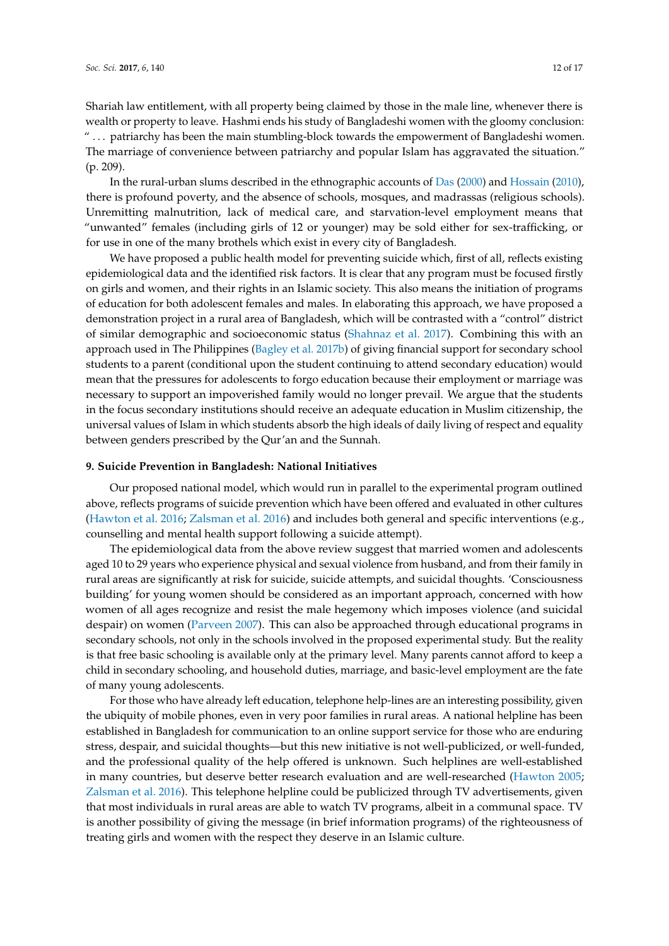Shariah law entitlement, with all property being claimed by those in the male line, whenever there is wealth or property to leave. Hashmi ends his study of Bangladeshi women with the gloomy conclusion: " . . . patriarchy has been the main stumbling-block towards the empowerment of Bangladeshi women. The marriage of convenience between patriarchy and popular Islam has aggravated the situation." (p. 209).

In the rural-urban slums described in the ethnographic accounts of [Das](#page-14-15) [\(2000\)](#page-14-15) and [Hossain](#page-15-8) [\(2010\)](#page-15-8), there is profound poverty, and the absence of schools, mosques, and madrassas (religious schools). Unremitting malnutrition, lack of medical care, and starvation-level employment means that "unwanted" females (including girls of 12 or younger) may be sold either for sex-trafficking, or for use in one of the many brothels which exist in every city of Bangladesh.

We have proposed a public health model for preventing suicide which, first of all, reflects existing epidemiological data and the identified risk factors. It is clear that any program must be focused firstly on girls and women, and their rights in an Islamic society. This also means the initiation of programs of education for both adolescent females and males. In elaborating this approach, we have proposed a demonstration project in a rural area of Bangladesh, which will be contrasted with a "control" district of similar demographic and socioeconomic status [\(Shahnaz et al.](#page-16-3) [2017\)](#page-16-3). Combining this with an approach used in The Philippines [\(Bagley et al.](#page-14-21) [2017b\)](#page-14-21) of giving financial support for secondary school students to a parent (conditional upon the student continuing to attend secondary education) would mean that the pressures for adolescents to forgo education because their employment or marriage was necessary to support an impoverished family would no longer prevail. We argue that the students in the focus secondary institutions should receive an adequate education in Muslim citizenship, the universal values of Islam in which students absorb the high ideals of daily living of respect and equality between genders prescribed by the Qur'an and the Sunnah.

## **9. Suicide Prevention in Bangladesh: National Initiatives**

Our proposed national model, which would run in parallel to the experimental program outlined above, reflects programs of suicide prevention which have been offered and evaluated in other cultures [\(Hawton et al.](#page-15-21) [2016;](#page-15-21) [Zalsman et al.](#page-17-7) [2016\)](#page-17-7) and includes both general and specific interventions (e.g., counselling and mental health support following a suicide attempt).

The epidemiological data from the above review suggest that married women and adolescents aged 10 to 29 years who experience physical and sexual violence from husband, and from their family in rural areas are significantly at risk for suicide, suicide attempts, and suicidal thoughts. 'Consciousness building' for young women should be considered as an important approach, concerned with how women of all ages recognize and resist the male hegemony which imposes violence (and suicidal despair) on women [\(Parveen](#page-16-10) [2007\)](#page-16-10). This can also be approached through educational programs in secondary schools, not only in the schools involved in the proposed experimental study. But the reality is that free basic schooling is available only at the primary level. Many parents cannot afford to keep a child in secondary schooling, and household duties, marriage, and basic-level employment are the fate of many young adolescents.

For those who have already left education, telephone help-lines are an interesting possibility, given the ubiquity of mobile phones, even in very poor families in rural areas. A national helpline has been established in Bangladesh for communication to an online support service for those who are enduring stress, despair, and suicidal thoughts—but this new initiative is not well-publicized, or well-funded, and the professional quality of the help offered is unknown. Such helplines are well-established in many countries, but deserve better research evaluation and are well-researched [\(Hawton](#page-15-22) [2005;](#page-15-22) [Zalsman et al.](#page-17-7) [2016\)](#page-17-7). This telephone helpline could be publicized through TV advertisements, given that most individuals in rural areas are able to watch TV programs, albeit in a communal space. TV is another possibility of giving the message (in brief information programs) of the righteousness of treating girls and women with the respect they deserve in an Islamic culture.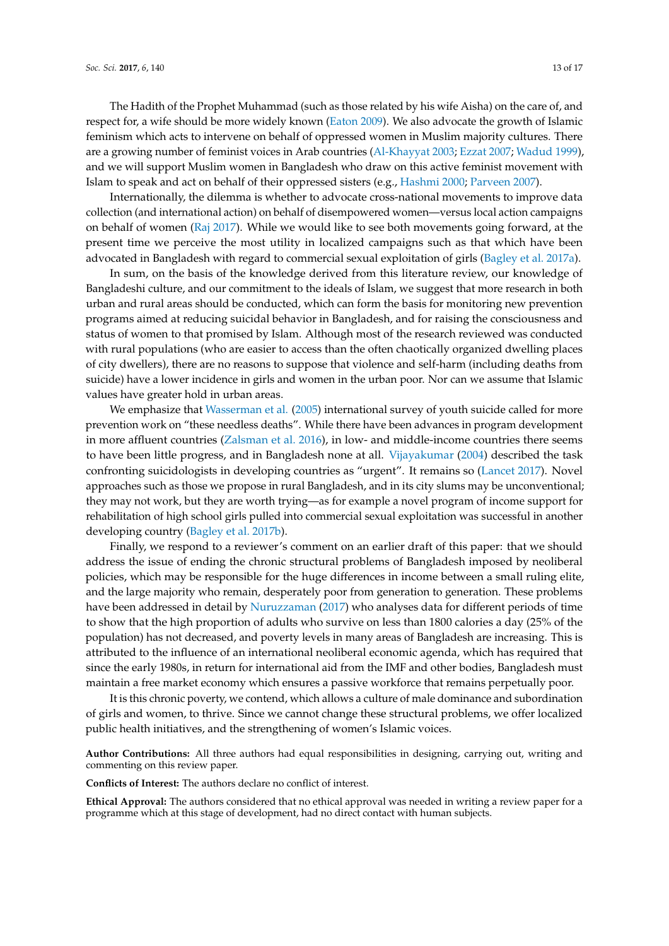Internationally, the dilemma is whether to advocate cross-national movements to improve data collection (and international action) on behalf of disempowered women—versus local action campaigns on behalf of women [\(Raj](#page-16-23) [2017\)](#page-16-23). While we would like to see both movements going forward, at the present time we perceive the most utility in localized campaigns such as that which have been advocated in Bangladesh with regard to commercial sexual exploitation of girls [\(Bagley et al.](#page-14-12) [2017a\)](#page-14-12).

In sum, on the basis of the knowledge derived from this literature review, our knowledge of Bangladeshi culture, and our commitment to the ideals of Islam, we suggest that more research in both urban and rural areas should be conducted, which can form the basis for monitoring new prevention programs aimed at reducing suicidal behavior in Bangladesh, and for raising the consciousness and status of women to that promised by Islam. Although most of the research reviewed was conducted with rural populations (who are easier to access than the often chaotically organized dwelling places of city dwellers), there are no reasons to suppose that violence and self-harm (including deaths from suicide) have a lower incidence in girls and women in the urban poor. Nor can we assume that Islamic values have greater hold in urban areas.

We emphasize that [Wasserman et al.](#page-17-2) [\(2005\)](#page-17-2) international survey of youth suicide called for more prevention work on "these needless deaths". While there have been advances in program development in more affluent countries [\(Zalsman et al.](#page-17-7) [2016\)](#page-17-7), in low- and middle-income countries there seems to have been little progress, and in Bangladesh none at all. [Vijayakumar](#page-16-14) [\(2004\)](#page-16-14) described the task confronting suicidologists in developing countries as "urgent". It remains so [\(Lancet](#page-16-0) [2017\)](#page-16-0). Novel approaches such as those we propose in rural Bangladesh, and in its city slums may be unconventional; they may not work, but they are worth trying—as for example a novel program of income support for rehabilitation of high school girls pulled into commercial sexual exploitation was successful in another developing country [\(Bagley et al.](#page-14-21) [2017b\)](#page-14-21).

Finally, we respond to a reviewer's comment on an earlier draft of this paper: that we should address the issue of ending the chronic structural problems of Bangladesh imposed by neoliberal policies, which may be responsible for the huge differences in income between a small ruling elite, and the large majority who remain, desperately poor from generation to generation. These problems have been addressed in detail by [Nuruzzaman](#page-16-9) [\(2017\)](#page-16-9) who analyses data for different periods of time to show that the high proportion of adults who survive on less than 1800 calories a day (25% of the population) has not decreased, and poverty levels in many areas of Bangladesh are increasing. This is attributed to the influence of an international neoliberal economic agenda, which has required that since the early 1980s, in return for international aid from the IMF and other bodies, Bangladesh must maintain a free market economy which ensures a passive workforce that remains perpetually poor.

It is this chronic poverty, we contend, which allows a culture of male dominance and subordination of girls and women, to thrive. Since we cannot change these structural problems, we offer localized public health initiatives, and the strengthening of women's Islamic voices.

**Author Contributions:** All three authors had equal responsibilities in designing, carrying out, writing and commenting on this review paper.

**Conflicts of Interest:** The authors declare no conflict of interest.

**Ethical Approval:** The authors considered that no ethical approval was needed in writing a review paper for a programme which at this stage of development, had no direct contact with human subjects.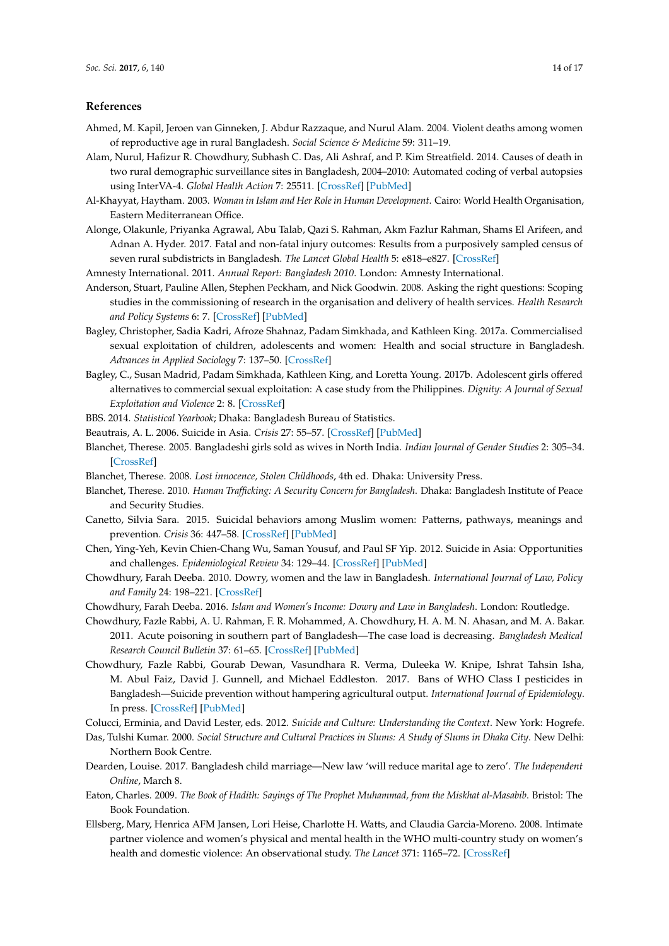#### **References**

- <span id="page-14-16"></span>Ahmed, M. Kapil, Jeroen van Ginneken, J. Abdur Razzaque, and Nurul Alam. 2004. Violent deaths among women of reproductive age in rural Bangladesh. *Social Science & Medicine* 59: 311–19.
- <span id="page-14-5"></span>Alam, Nurul, Hafizur R. Chowdhury, Subhash C. Das, Ali Ashraf, and P. Kim Streatfield. 2014. Causes of death in two rural demographic surveillance sites in Bangladesh, 2004–2010: Automated coding of verbal autopsies using InterVA-4. *Global Health Action* 7: 25511. [\[CrossRef\]](http://dx.doi.org/10.3402/gha.v7.25511) [\[PubMed\]](http://www.ncbi.nlm.nih.gov/pubmed/28672574)
- <span id="page-14-23"></span>Al-Khayyat, Haytham. 2003. *Woman in Islam and Her Role in Human Development*. Cairo: World Health Organisation, Eastern Mediterranean Office.
- <span id="page-14-6"></span>Alonge, Olakunle, Priyanka Agrawal, Abu Talab, Qazi S. Rahman, Akm Fazlur Rahman, Shams El Arifeen, and Adnan A. Hyder. 2017. Fatal and non-fatal injury outcomes: Results from a purposively sampled census of seven rural subdistricts in Bangladesh. *The Lancet Global Health* 5: e818–e827. [\[CrossRef\]](http://dx.doi.org/10.1016/S2214-109X(17)30244-9)
- <span id="page-14-14"></span>Amnesty International. 2011. *Annual Report: Bangladesh 2010*. London: Amnesty International.
- <span id="page-14-17"></span>Anderson, Stuart, Pauline Allen, Stephen Peckham, and Nick Goodwin. 2008. Asking the right questions: Scoping studies in the commissioning of research in the organisation and delivery of health services. *Health Research and Policy Systems* 6: 7. [\[CrossRef\]](http://dx.doi.org/10.1186/1478-4505-6-7) [\[PubMed\]](http://www.ncbi.nlm.nih.gov/pubmed/18613961)
- <span id="page-14-12"></span>Bagley, Christopher, Sadia Kadri, Afroze Shahnaz, Padam Simkhada, and Kathleen King. 2017a. Commercialised sexual exploitation of children, adolescents and women: Health and social structure in Bangladesh. *Advances in Applied Sociology* 7: 137–50. [\[CrossRef\]](http://dx.doi.org/10.4236/aasoci.2017.74008)
- <span id="page-14-21"></span>Bagley, C., Susan Madrid, Padam Simkhada, Kathleen King, and Loretta Young. 2017b. Adolescent girls offered alternatives to commercial sexual exploitation: A case study from the Philippines. *Dignity: A Journal of Sexual Exploitation and Violence* 2: 8. [\[CrossRef\]](http://dx.doi.org/10.23860/dignity.2017.02.01.08)
- <span id="page-14-4"></span><span id="page-14-3"></span>BBS. 2014. *Statistical Yearbook*; Dhaka: Bangladesh Bureau of Statistics.
- Beautrais, A. L. 2006. Suicide in Asia. *Crisis* 27: 55–57. [\[CrossRef\]](http://dx.doi.org/10.1027/0227-5910.27.2.55) [\[PubMed\]](http://www.ncbi.nlm.nih.gov/pubmed/16913325)
- <span id="page-14-10"></span>Blanchet, Therese. 2005. Bangladeshi girls sold as wives in North India. *Indian Journal of Gender Studies* 2: 305–34. [\[CrossRef\]](http://dx.doi.org/10.1177/097152150501200207)
- <span id="page-14-13"></span>Blanchet, Therese. 2008. *Lost innocence, Stolen Childhoods*, 4th ed. Dhaka: University Press.
- <span id="page-14-11"></span>Blanchet, Therese. 2010. *Human Trafficking: A Security Concern for Bangladesh*. Dhaka: Bangladesh Institute of Peace and Security Studies.
- <span id="page-14-1"></span>Canetto, Silvia Sara. 2015. Suicidal behaviors among Muslim women: Patterns, pathways, meanings and prevention. *Crisis* 36: 447–58. [\[CrossRef\]](http://dx.doi.org/10.1027/0227-5910/a000347) [\[PubMed\]](http://www.ncbi.nlm.nih.gov/pubmed/26648233)
- <span id="page-14-2"></span>Chen, Ying-Yeh, Kevin Chien-Chang Wu, Saman Yousuf, and Paul SF Yip. 2012. Suicide in Asia: Opportunities and challenges. *Epidemiological Review* 34: 129–44. [\[CrossRef\]](http://dx.doi.org/10.1093/epirev/mxr025) [\[PubMed\]](http://www.ncbi.nlm.nih.gov/pubmed/22158651)
- <span id="page-14-9"></span>Chowdhury, Farah Deeba. 2010. Dowry, women and the law in Bangladesh. *International Journal of Law, Policy and Family* 24: 198–221. [\[CrossRef\]](http://dx.doi.org/10.1093/lawfam/ebq003)
- <span id="page-14-7"></span>Chowdhury, Farah Deeba. 2016. *Islam and Women's Income: Dowry and Law in Bangladesh*. London: Routledge.
- <span id="page-14-20"></span>Chowdhury, Fazle Rabbi, A. U. Rahman, F. R. Mohammed, A. Chowdhury, H. A. M. N. Ahasan, and M. A. Bakar. 2011. Acute poisoning in southern part of Bangladesh—The case load is decreasing. *Bangladesh Medical Research Council Bulletin* 37: 61–65. [\[CrossRef\]](http://dx.doi.org/10.3329/bmrcb.v37i2.8436) [\[PubMed\]](http://www.ncbi.nlm.nih.gov/pubmed/21877607)
- <span id="page-14-19"></span>Chowdhury, Fazle Rabbi, Gourab Dewan, Vasundhara R. Verma, Duleeka W. Knipe, Ishrat Tahsin Isha, M. Abul Faiz, David J. Gunnell, and Michael Eddleston. 2017. Bans of WHO Class I pesticides in Bangladesh—Suicide prevention without hampering agricultural output. *International Journal of Epidemiology*. In press. [\[CrossRef\]](http://dx.doi.org/10.1093/ije/dyx157) [\[PubMed\]](http://www.ncbi.nlm.nih.gov/pubmed/29024951)
- <span id="page-14-15"></span><span id="page-14-0"></span>Colucci, Erminia, and David Lester, eds. 2012. *Suicide and Culture: Understanding the Context*. New York: Hogrefe.
- Das, Tulshi Kumar. 2000. *Social Structure and Cultural Practices in Slums: A Study of Slums in Dhaka City*. New Delhi: Northern Book Centre.
- <span id="page-14-8"></span>Dearden, Louise. 2017. Bangladesh child marriage—New law 'will reduce marital age to zero'. *The Independent Online*, March 8.
- <span id="page-14-22"></span>Eaton, Charles. 2009. *The Book of Hadith: Sayings of The Prophet Muhammad, from the Miskhat al-Masabib*. Bristol: The Book Foundation.
- <span id="page-14-18"></span>Ellsberg, Mary, Henrica AFM Jansen, Lori Heise, Charlotte H. Watts, and Claudia Garcia-Moreno. 2008. Intimate partner violence and women's physical and mental health in the WHO multi-country study on women's health and domestic violence: An observational study. *The Lancet* 371: 1165–72. [\[CrossRef\]](http://dx.doi.org/10.1016/S0140-6736(08)60522-X)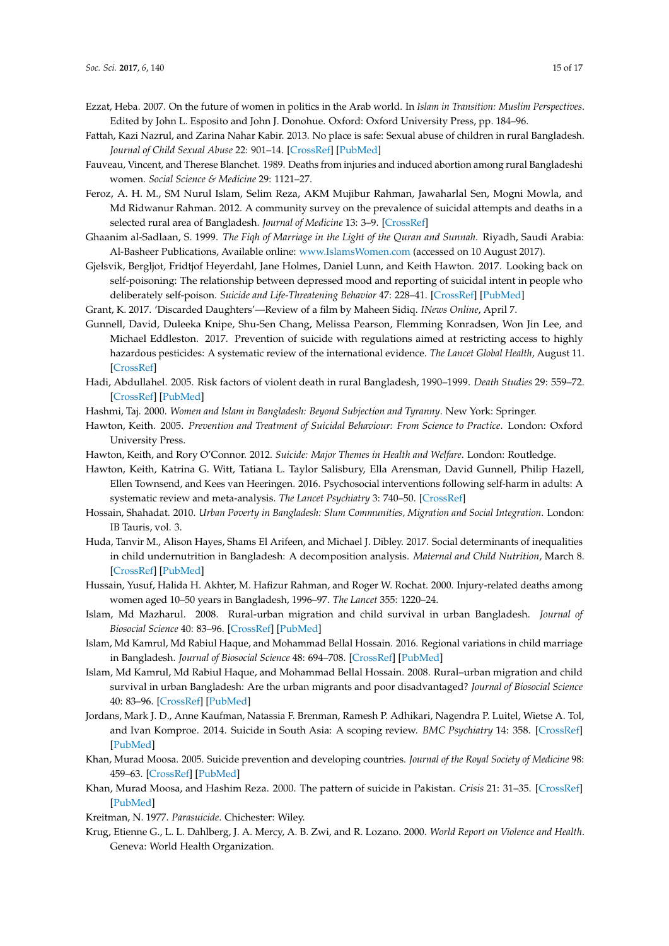- <span id="page-15-23"></span>Ezzat, Heba. 2007. On the future of women in politics in the Arab world. In *Islam in Transition: Muslim Perspectives*. Edited by John L. Esposito and John J. Donohue. Oxford: Oxford University Press, pp. 184–96.
- <span id="page-15-11"></span>Fattah, Kazi Nazrul, and Zarina Nahar Kabir. 2013. No place is safe: Sexual abuse of children in rural Bangladesh. *Journal of Child Sexual Abuse* 22: 901–14. [\[CrossRef\]](http://dx.doi.org/10.1080/10538712.2013.841310) [\[PubMed\]](http://www.ncbi.nlm.nih.gov/pubmed/24283542)
- <span id="page-15-16"></span>Fauveau, Vincent, and Therese Blanchet. 1989. Deaths from injuries and induced abortion among rural Bangladeshi women. *Social Science & Medicine* 29: 1121–27.
- <span id="page-15-18"></span>Feroz, A. H. M., SM Nurul Islam, Selim Reza, AKM Mujibur Rahman, Jawaharlal Sen, Mogni Mowla, and Md Ridwanur Rahman. 2012. A community survey on the prevalence of suicidal attempts and deaths in a selected rural area of Bangladesh. *Journal of Medicine* 13: 3–9. [\[CrossRef\]](http://dx.doi.org/10.3329/jom.v13i1.10042)
- <span id="page-15-9"></span>Ghaanim al-Sadlaan, S. 1999. *The Fiqh of Marriage in the Light of the Quran and Sunnah*. Riyadh, Saudi Arabia: Al-Basheer Publications, Available online: <www.IslamsWomen.com> (accessed on 10 August 2017).
- <span id="page-15-14"></span>Gjelsvik, Bergljot, Fridtjof Heyerdahl, Jane Holmes, Daniel Lunn, and Keith Hawton. 2017. Looking back on self-poisoning: The relationship between depressed mood and reporting of suicidal intent in people who deliberately self-poison. *Suicide and Life-Threatening Behavior* 47: 228–41. [\[CrossRef\]](http://dx.doi.org/10.1111/sltb.12278) [\[PubMed\]](http://www.ncbi.nlm.nih.gov/pubmed/27416894)
- <span id="page-15-10"></span>Grant, K. 2017. 'Discarded Daughters'—Review of a film by Maheen Sidiq. *INews Online*, April 7.
- <span id="page-15-17"></span>Gunnell, David, Duleeka Knipe, Shu-Sen Chang, Melissa Pearson, Flemming Konradsen, Won Jin Lee, and Michael Eddleston. 2017. Prevention of suicide with regulations aimed at restricting access to highly hazardous pesticides: A systematic review of the international evidence. *The Lancet Global Health*, August 11. [\[CrossRef\]](http://dx.doi.org/10.1016/S2214-109X(17)30299-1)
- <span id="page-15-20"></span>Hadi, Abdullahel. 2005. Risk factors of violent death in rural Bangladesh, 1990–1999. *Death Studies* 29: 559–72. [\[CrossRef\]](http://dx.doi.org/10.1080/07481180590962695) [\[PubMed\]](http://www.ncbi.nlm.nih.gov/pubmed/16187479)
- <span id="page-15-6"></span>Hashmi, Taj. 2000. *Women and Islam in Bangladesh: Beyond Subjection and Tyranny*. New York: Springer.
- <span id="page-15-22"></span>Hawton, Keith. 2005. *Prevention and Treatment of Suicidal Behaviour: From Science to Practice*. London: Oxford University Press.
- <span id="page-15-19"></span>Hawton, Keith, and Rory O'Connor. 2012. *Suicide: Major Themes in Health and Welfare*. London: Routledge.
- <span id="page-15-21"></span>Hawton, Keith, Katrina G. Witt, Tatiana L. Taylor Salisbury, Ella Arensman, David Gunnell, Philip Hazell, Ellen Townsend, and Kees van Heeringen. 2016. Psychosocial interventions following self-harm in adults: A systematic review and meta-analysis. *The Lancet Psychiatry* 3: 740–50. [\[CrossRef\]](http://dx.doi.org/10.1016/S2215-0366(16)30070-0)
- <span id="page-15-8"></span>Hossain, Shahadat. 2010. *Urban Poverty in Bangladesh: Slum Communities, Migration and Social Integration*. London: IB Tauris, vol. 3.
- <span id="page-15-4"></span>Huda, Tanvir M., Alison Hayes, Shams El Arifeen, and Michael J. Dibley. 2017. Social determinants of inequalities in child undernutrition in Bangladesh: A decomposition analysis. *Maternal and Child Nutrition*, March 8. [\[CrossRef\]](http://dx.doi.org/10.1111/mcn.12440) [\[PubMed\]](http://www.ncbi.nlm.nih.gov/pubmed/28271627)
- <span id="page-15-5"></span>Hussain, Yusuf, Halida H. Akhter, M. Hafizur Rahman, and Roger W. Rochat. 2000. Injury-related deaths among women aged 10–50 years in Bangladesh, 1996–97. *The Lancet* 355: 1220–24.
- <span id="page-15-13"></span>Islam, Md Mazharul. 2008. Rural-urban migration and child survival in urban Bangladesh. *Journal of Biosocial Science* 40: 83–96. [\[CrossRef\]](http://dx.doi.org/10.1017/S0021932007002271) [\[PubMed\]](http://www.ncbi.nlm.nih.gov/pubmed/17640395)
- <span id="page-15-7"></span>Islam, Md Kamrul, Md Rabiul Haque, and Mohammad Bellal Hossain. 2016. Regional variations in child marriage in Bangladesh. *Journal of Biosocial Science* 48: 694–708. [\[CrossRef\]](http://dx.doi.org/10.1017/S0021932016000110) [\[PubMed\]](http://www.ncbi.nlm.nih.gov/pubmed/27076200)
- <span id="page-15-12"></span>Islam, Md Kamrul, Md Rabiul Haque, and Mohammad Bellal Hossain. 2008. Rural–urban migration and child survival in urban Bangladesh: Are the urban migrants and poor disadvantaged? *Journal of Biosocial Science* 40: 83–96. [\[CrossRef\]](http://dx.doi.org/10.1017/S0021932007002271) [\[PubMed\]](http://www.ncbi.nlm.nih.gov/pubmed/17640395)
- <span id="page-15-0"></span>Jordans, Mark J. D., Anne Kaufman, Natassia F. Brenman, Ramesh P. Adhikari, Nagendra P. Luitel, Wietse A. Tol, and Ivan Komproe. 2014. Suicide in South Asia: A scoping review. *BMC Psychiatry* 14: 358. [\[CrossRef\]](http://dx.doi.org/10.1186/s12888-014-0358-9) [\[PubMed\]](http://www.ncbi.nlm.nih.gov/pubmed/25539951)
- <span id="page-15-3"></span>Khan, Murad Moosa. 2005. Suicide prevention and developing countries. *Journal of the Royal Society of Medicine* 98: 459–63. [\[CrossRef\]](http://dx.doi.org/10.1258/jrsm.98.10.459) [\[PubMed\]](http://www.ncbi.nlm.nih.gov/pubmed/16199814)
- <span id="page-15-2"></span>Khan, Murad Moosa, and Hashim Reza. 2000. The pattern of suicide in Pakistan. *Crisis* 21: 31–35. [\[CrossRef\]](http://dx.doi.org/10.1027//0227-5910.21.1.31) [\[PubMed\]](http://www.ncbi.nlm.nih.gov/pubmed/10793469)
- <span id="page-15-15"></span>Kreitman, N. 1977. *Parasuicide*. Chichester: Wiley.
- <span id="page-15-1"></span>Krug, Etienne G., L. L. Dahlberg, J. A. Mercy, A. B. Zwi, and R. Lozano. 2000. *World Report on Violence and Health*. Geneva: World Health Organization.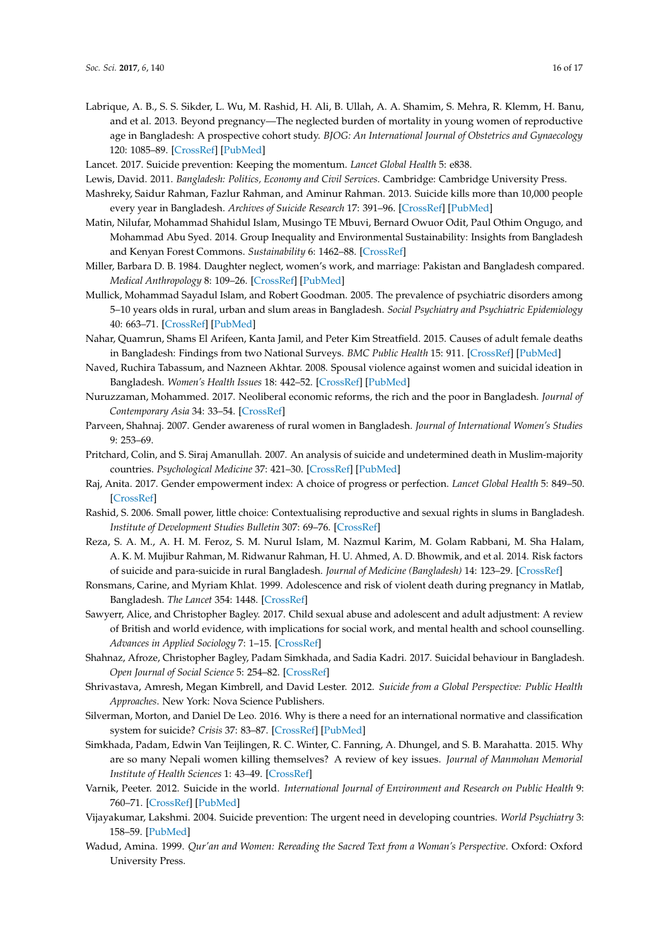- <span id="page-16-18"></span>Labrique, A. B., S. S. Sikder, L. Wu, M. Rashid, H. Ali, B. Ullah, A. A. Shamim, S. Mehra, R. Klemm, H. Banu, and et al. 2013. Beyond pregnancy—The neglected burden of mortality in young women of reproductive age in Bangladesh: A prospective cohort study. *BJOG: An International Journal of Obstetrics and Gynaecology* 120: 1085–89. [\[CrossRef\]](http://dx.doi.org/10.1111/1471-0528.12245) [\[PubMed\]](http://www.ncbi.nlm.nih.gov/pubmed/23647788)
- <span id="page-16-0"></span>Lancet. 2017. Suicide prevention: Keeping the momentum. *Lancet Global Health* 5: e838.
- <span id="page-16-7"></span>Lewis, David. 2011. *Bangladesh: Politics, Economy and Civil Services*. Cambridge: Cambridge University Press.
- <span id="page-16-5"></span>Mashreky, Saidur Rahman, Fazlur Rahman, and Aminur Rahman. 2013. Suicide kills more than 10,000 people every year in Bangladesh. *Archives of Suicide Research* 17: 391–96. [\[CrossRef\]](http://dx.doi.org/10.1080/13811118.2013.801809) [\[PubMed\]](http://www.ncbi.nlm.nih.gov/pubmed/24224672)
- <span id="page-16-8"></span>Matin, Nilufar, Mohammad Shahidul Islam, Musingo TE Mbuvi, Bernard Owuor Odit, Paul Othim Ongugo, and Mohammad Abu Syed. 2014. Group Inequality and Environmental Sustainability: Insights from Bangladesh and Kenyan Forest Commons. *Sustainability* 6: 1462–88. [\[CrossRef\]](http://dx.doi.org/10.3390/su6031462)
- <span id="page-16-11"></span>Miller, Barbara D. B. 1984. Daughter neglect, women's work, and marriage: Pakistan and Bangladesh compared. *Medical Anthropology* 8: 109–26. [\[CrossRef\]](http://dx.doi.org/10.1080/01459740.1984.9965895) [\[PubMed\]](http://www.ncbi.nlm.nih.gov/pubmed/6536850)
- <span id="page-16-13"></span>Mullick, Mohammad Sayadul Islam, and Robert Goodman. 2005. The prevalence of psychiatric disorders among 5–10 years olds in rural, urban and slum areas in Bangladesh. *Social Psychiatry and Psychiatric Epidemiology* 40: 663–71. [\[CrossRef\]](http://dx.doi.org/10.1007/s00127-005-0939-5) [\[PubMed\]](http://www.ncbi.nlm.nih.gov/pubmed/16091858)
- <span id="page-16-16"></span>Nahar, Quamrun, Shams El Arifeen, Kanta Jamil, and Peter Kim Streatfield. 2015. Causes of adult female deaths in Bangladesh: Findings from two National Surveys. *BMC Public Health* 15: 911. [\[CrossRef\]](http://dx.doi.org/10.1186/s12889-015-2256-6) [\[PubMed\]](http://www.ncbi.nlm.nih.gov/pubmed/26381481)
- <span id="page-16-17"></span>Naved, Ruchira Tabassum, and Nazneen Akhtar. 2008. Spousal violence against women and suicidal ideation in Bangladesh. *Women's Health Issues* 18: 442–52. [\[CrossRef\]](http://dx.doi.org/10.1016/j.whi.2008.07.003) [\[PubMed\]](http://www.ncbi.nlm.nih.gov/pubmed/19041596)
- <span id="page-16-9"></span>Nuruzzaman, Mohammed. 2017. Neoliberal economic reforms, the rich and the poor in Bangladesh. *Journal of Contemporary Asia* 34: 33–54. [\[CrossRef\]](http://dx.doi.org/10.1080/00472330480000291)
- <span id="page-16-10"></span>Parveen, Shahnaj. 2007. Gender awareness of rural women in Bangladesh. *Journal of International Women's Studies* 9: 253–69.
- <span id="page-16-2"></span>Pritchard, Colin, and S. Siraj Amanullah. 2007. An analysis of suicide and undetermined death in Muslim-majority countries. *Psychological Medicine* 37: 421–30. [\[CrossRef\]](http://dx.doi.org/10.1017/S0033291706009159) [\[PubMed\]](http://www.ncbi.nlm.nih.gov/pubmed/17176500)
- <span id="page-16-23"></span>Raj, Anita. 2017. Gender empowerment index: A choice of progress or perfection. *Lancet Global Health* 5: 849–50. [\[CrossRef\]](http://dx.doi.org/10.1016/S2214-109X(17)30300-5)
- <span id="page-16-20"></span>Rashid, S. 2006. Small power, little choice: Contextualising reproductive and sexual rights in slums in Bangladesh. *Institute of Development Studies Bulletin* 307: 69–76. [\[CrossRef\]](http://dx.doi.org/10.1111/j.1759-5436.2006.tb00305.x)
- <span id="page-16-19"></span>Reza, S. A. M., A. H. M. Feroz, S. M. Nurul Islam, M. Nazmul Karim, M. Golam Rabbani, M. Sha Halam, A. K. M. Mujibur Rahman, M. Ridwanur Rahman, H. U. Ahmed, A. D. Bhowmik, and et al. 2014. Risk factors of suicide and para-suicide in rural Bangladesh. *Journal of Medicine (Bangladesh)* 14: 123–29. [\[CrossRef\]](http://dx.doi.org/10.3329/jom.v14i2.19653)
- <span id="page-16-21"></span>Ronsmans, Carine, and Myriam Khlat. 1999. Adolescence and risk of violent death during pregnancy in Matlab, Bangladesh. *The Lancet* 354: 1448. [\[CrossRef\]](http://dx.doi.org/10.1016/S0140-6736(99)03222-5)
- <span id="page-16-12"></span>Sawyerr, Alice, and Christopher Bagley. 2017. Child sexual abuse and adolescent and adult adjustment: A review of British and world evidence, with implications for social work, and mental health and school counselling. *Advances in Applied Sociology* 7: 1–15. [\[CrossRef\]](http://dx.doi.org/10.4236/aasoci.2017.71001)
- <span id="page-16-3"></span>Shahnaz, Afroze, Christopher Bagley, Padam Simkhada, and Sadia Kadri. 2017. Suicidal behaviour in Bangladesh. *Open Journal of Social Science* 5: 254–82. [\[CrossRef\]](http://dx.doi.org/10.4236/jss.2017.57016)
- <span id="page-16-15"></span>Shrivastava, Amresh, Megan Kimbrell, and David Lester. 2012. *Suicide from a Global Perspective: Public Health Approaches*. New York: Nova Science Publishers.
- <span id="page-16-1"></span>Silverman, Morton, and Daniel De Leo. 2016. Why is there a need for an international normative and classification system for suicide? *Crisis* 37: 83–87. [\[CrossRef\]](http://dx.doi.org/10.1027/0227-5910/a000419) [\[PubMed\]](http://www.ncbi.nlm.nih.gov/pubmed/27232426)
- <span id="page-16-4"></span>Simkhada, Padam, Edwin Van Teijlingen, R. C. Winter, C. Fanning, A. Dhungel, and S. B. Marahatta. 2015. Why are so many Nepali women killing themselves? A review of key issues. *Journal of Manmohan Memorial Institute of Health Sciences* 1: 43–49. [\[CrossRef\]](http://dx.doi.org/10.3126/jmmihs.v1i4.12001)
- <span id="page-16-6"></span>Varnik, Peeter. 2012. Suicide in the world. *International Journal of Environment and Research on Public Health* 9: 760–71. [\[CrossRef\]](http://dx.doi.org/10.3390/ijerph9030760) [\[PubMed\]](http://www.ncbi.nlm.nih.gov/pubmed/22690161)
- <span id="page-16-14"></span>Vijayakumar, Lakshmi. 2004. Suicide prevention: The urgent need in developing countries. *World Psychiatry* 3: 158–59. [\[PubMed\]](http://www.ncbi.nlm.nih.gov/pubmed/16633485)
- <span id="page-16-22"></span>Wadud, Amina. 1999. *Qur'an and Women: Rereading the Sacred Text from a Woman's Perspective*. Oxford: Oxford University Press.